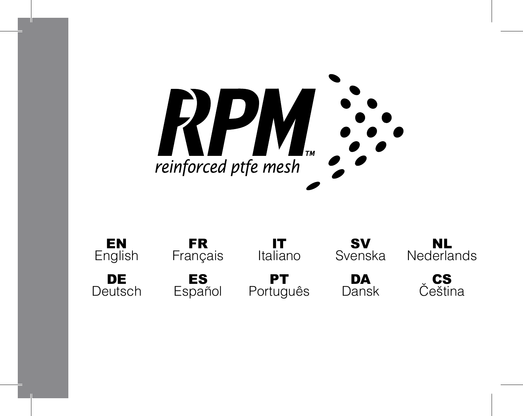

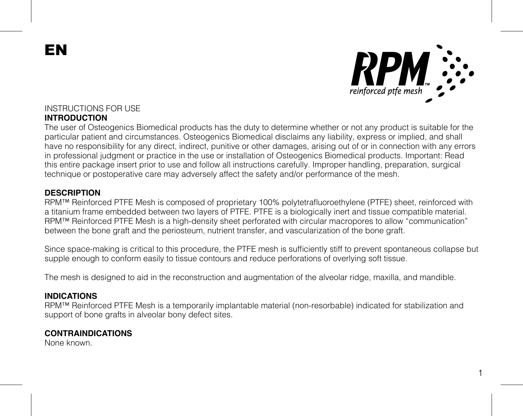EN



### INSTRUCTIONS FOR USE **INTRODUCTION**

The user of Osteogenics Biomedical products has the duty to determine whether or not any product is suitable for the particular patient and circumstances. Osteogenics Biomedical disclaims any liability, express or implied, and shall have no responsibility for any direct, indirect, punitive or other damages, arising out of or in connection with any errors in professional judgment or practice in the use or installation of Osteogenics Biomedical products. Important: Read this entire package insert prior to use and follow all instructions carefully. Improper handling, preparation, surgical technique or postoperative care may adversely affect the safety and/or performance of the mesh.

#### **DESCRIPTION**

RPM™ Reinforced PTFE Mesh is composed of proprietary 100% polytetrafluoroethylene (PTFE) sheet, reinforced with a titanium frame embedded between two layers of PTFE. PTFE is a biologically inert and tissue compatible material. RPM™ Reinforced PTFE Mesh is a high-density sheet perforated with circular macropores to allow "communication" between the bone graft and the periosteum, nutrient transfer, and vascularization of the bone graft.

Since space-making is critical to this procedure, the PTFE mesh is sufficiently stiff to prevent spontaneous collapse but supple enough to conform easily to tissue contours and reduce perforations of overlying soft tissue.

The mesh is designed to aid in the reconstruction and augmentation of the alveolar ridge, maxilla, and mandible.

#### **INDICATIONS**

RPM™ Reinforced PTFE Mesh is a temporarily implantable material (non-resorbable) indicated for stabilization and support of bone grafts in alveolar bony defect sites.

### **CONTRAINDICATIONS**

None known.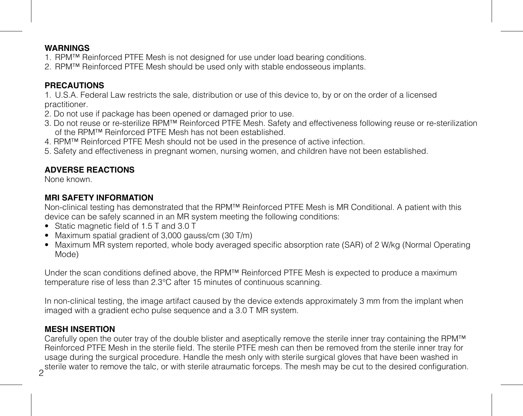### **WARNINGS**

- 1. RPM™ Reinforced PTFE Mesh is not designed for use under load bearing conditions.
- 2. RPM™ Reinforced PTFE Mesh should be used only with stable endosseous implants.

### **PRECAUTIONS**

1. U.S.A. Federal Law restricts the sale, distribution or use of this device to, by or on the order of a licensed practitioner.

- .<br>2. Do not use if package has been opened or damaged prior to use.
- 3. Do not reuse or re-sterilize RPM™ Reinforced PTFE Mesh. Safety and effectiveness following reuse or re-sterilization of the RPM™ Reinforced PTFE Mesh has not been established.
- 4. RPM™ Reinforced PTFE Mesh should not be used in the presence of active infection.
- 5. Safety and effectiveness in pregnant women, nursing women, and children have not been established.

### **ADVERSE REACTIONS**

None known.

### **MRI SAFETY INFORMATION**

Non-clinical testing has demonstrated that the RPM™ Reinforced PTFE Mesh is MR Conditional. A patient with this device can be safely scanned in an MR system meeting the following conditions:

- Static magnetic field of 1.5 T and 3.0 T
- Maximum spatial gradient of 3,000 gauss/cm (30 T/m)
- Maximum MR system reported, whole body averaged specific absorption rate (SAR) of 2 W/kg (Normal Operating Mode)

Under the scan conditions defined above, the RPM™ Reinforced PTFE Mesh is expected to produce a maximum temperature rise of less than 2.3°C after 15 minutes of continuous scanning.

In non-clinical testing, the image artifact caused by the device extends approximately 3 mm from the implant when imaged with a gradient echo pulse sequence and a 3.0 T MR system.

## **MESH INSERTION**

2 sterile water to remove the talc, or with sterile atraumatic forceps. The mesh may be cut to the desired configuration. Carefully open the outer tray of the double blister and aseptically remove the sterile inner tray containing the RPM™ Reinforced PTFE Mesh in the sterile field. The sterile PTFE mesh can then be removed from the sterile inner tray for usage during the surgical procedure. Handle the mesh only with sterile surgical gloves that have been washed in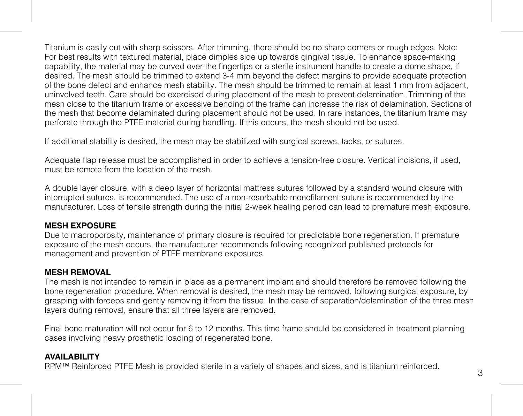Titanium is easily cut with sharp scissors. After trimming, there should be no sharp corners or rough edges. Note: For best results with textured material, place dimples side up towards gingival tissue. To enhance space-making capability, the material may be curved over the fingertips or a sterile instrument handle to create a dome shape, if desired. The mesh should be trimmed to extend 3-4 mm beyond the defect margins to provide adequate protection of the bone defect and enhance mesh stability. The mesh should be trimmed to remain at least 1 mm from adjacent, uninvolved teeth. Care should be exercised during placement of the mesh to prevent delamination. Trimming of the mesh close to the titanium frame or excessive bending of the frame can increase the risk of delamination. Sections of the mesh that become delaminated during placement should not be used. In rare instances, the titanium frame may perforate through the PTFE material during handling. If this occurs, the mesh should not be used.

If additional stability is desired, the mesh may be stabilized with surgical screws, tacks, or sutures.

Adequate flap release must be accomplished in order to achieve a tension-free closure. Vertical incisions, if used, must be remote from the location of the mesh.

A double layer closure, with a deep layer of horizontal mattress sutures followed by a standard wound closure with interrupted sutures, is recommended. The use of a non‐resorbable monofilament suture is recommended by the manufacturer. Loss of tensile strength during the initial 2‐week healing period can lead to premature mesh exposure.

### **MESH EXPOSURE**

Due to macroporosity, maintenance of primary closure is required for predictable bone regeneration. If premature exposure of the mesh occurs, the manufacturer recommends following recognized published protocols for management and prevention of PTFE membrane exposures.

### **MESH REMOVAL**

The mesh is not intended to remain in place as a permanent implant and should therefore be removed following the bone regeneration procedure. When removal is desired, the mesh may be removed, following surgical exposure, by grasping with forceps and gently removing it from the tissue. In the case of separation/delamination of the three mesh layers during removal, ensure that all three layers are removed.

Final bone maturation will not occur for 6 to 12 months. This time frame should be considered in treatment planning cases involving heavy prosthetic loading of regenerated bone.

### **AVAILABILITY**

RPM™ Reinforced PTFE Mesh is provided sterile in a variety of shapes and sizes, and is titanium reinforced.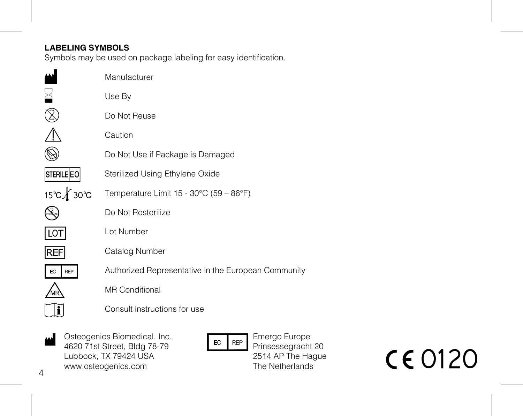## **LABELING SYMBOLS**

Symbols may be used on package labeling for easy identification.

|                   | Manufacturer                                        |
|-------------------|-----------------------------------------------------|
|                   | Use By                                              |
|                   | Do Not Reuse                                        |
|                   | Caution                                             |
|                   | Do Not Use if Package is Damaged                    |
| <b>STERILE EO</b> | Sterilized Using Ethylene Oxide                     |
| 15℃∦ 30℃          | Temperature Limit 15 - 30°C (59 - 86°F)             |
|                   | Do Not Resterilize                                  |
| <b>LOT</b>        | I ot Number                                         |
| <b>REF</b>        | Catalog Number                                      |
| EC<br><b>REP</b>  | Authorized Representative in the European Community |
|                   | <b>MR Conditional</b>                               |
|                   | Consult instructions for use                        |
|                   |                                                     |

Osteogenics Biomedical, Inc. 4620 71st Street, Bldg 78-79 Lubbock, TX 79424 USA www.osteogenics.com M

 $EC$  REP

Emergo Europe Prinsessegracht 20 2514 AP The Hague The Netherlands

**CE0120** 

 $\overline{A}$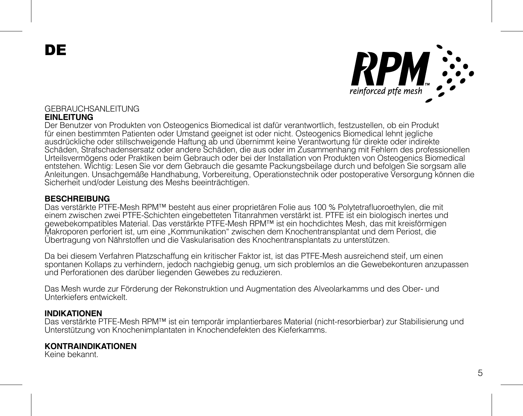DE



## GEBRAUCHSANLEITUNG

### **EINLEITUNG**

Der Benutzer von Produkten von Osteogenics Biomedical ist dafür verantwortlich, festzustellen, ob ein Produkt für einen bestimmten Patienten oder Umstand geeignet ist oder nicht. Osteogenics Biomedical lehnt jegliche ausdrückliche oder stillschweigende Haftung ab und übernimmt keine Verantwortung für direkte oder indirekte Schäden, Strafschadensersatz oder andere Schäden, die aus oder im Zusammenhang mit Fehlern des professionellen Urteilsvermögens oder Praktiken beim Gebrauch oder bei der Installation von Produkten von Osteogenics Biomedical entstehen. Wichtig: Lesen Sie vor dem Gebrauch die gesamte Packungsbeilage durch und befolgen Sie sorgsam alle Anleitungen. Unsachgemäße Handhabung, Vorbereitung, Operationstechnik oder postoperative Versorgung können die Sicherheit und/oder Leistung des Meshs beeinträchtigen.

#### **BESCHREIBUNG**

Das verstärkte PTFE-Mesh RPM™ besteht aus einer proprietären Folie aus 100 % Polytetrafluoroethylen, die mit einem zwischen zwei PTFE-Schichten eingebetteten Titanrahmen verstärkt ist. PTFE ist ein biologisch inertes und gewebekompatibles Material. Das verstärkte PTFE-Mesh RPM™ ist ein hochdichtes Mesh, das mit kreisförmigen Makroporen perforiert ist, um eine "Kommunikation" zwischen dem Knochentransplantat und dem Periost, die Übertragung von Nährstoffen und die Vaskularisation des Knochentransplantats zu unterstützen.

Da bei diesem Verfahren Platzschaffung ein kritischer Faktor ist, ist das PTFE-Mesh ausreichend steif, um einen spontanen Kollaps zu verhindern, jedoch nachgiebig genug, um sich problemlos an die Gewebekonturen anzupassen und Perforationen des darüber liegenden Gewebes zu reduzieren.

Das Mesh wurde zur Förderung der Rekonstruktion und Augmentation des Alveolarkamms und des Ober- und Unterkiefers entwickelt.

### **INDIKATIONEN**

Das verstärkte PTFE-Mesh RPM™ ist ein temporär implantierbares Material (nicht-resorbierbar) zur Stabilisierung und Unterstützung von Knochenimplantaten in Knochendefekten des Kieferkamms.

#### **KONTRAINDIKATIONEN**

Keine bekannt.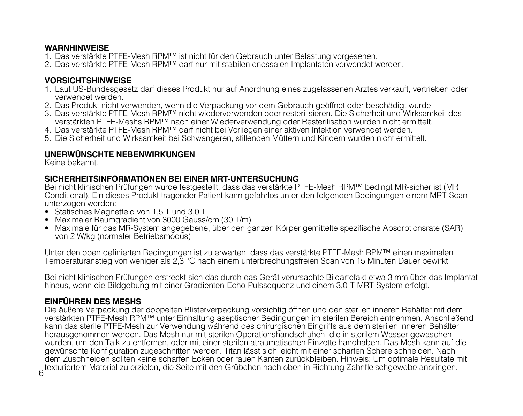### **WARNHINWEISE**

- 1. Das verstärkte PTFE-Mesh RPM™ ist nicht für den Gebrauch unter Belastung vorgesehen.
- 2. Das verstärkte PTFE-Mesh RPM™ darf nur mit stabilen enossalen Implantaten verwendet werden.

### **VORSICHTSHINWEISE**

- 1. Laut US-Bundesgesetz darf dieses Produkt nur auf Anordnung eines zugelassenen Arztes verkauft, vertrieben oder verwendet werden.
- 2. Das Produkt nicht verwenden, wenn die Verpackung vor dem Gebrauch geöffnet oder beschädigt wurde.
- 3. Das verstärkte PTFE-Mesh RPM™ nicht wiederverwenden oder resterilisieren. Die Sicherheit und Wirksamkeit des verstärkten PTFE-Meshs RPM™ nach einer Wiederverwendung oder Resterilisation wurden nicht ermittelt.
- 4. Das verstärkte PTFE-Mesh RPM™ darf nicht bei Vorliegen einer aktiven Infektion verwendet werden.
- 5. Die Sicherheit und Wirksamkeit bei Schwangeren, stillenden Müttern und Kindern wurden nicht ermittelt.

### **UNERWÜNSCHTE NEBENWIRKUNGEN**

Keine bekannt.

### **SICHERHEITSINFORMATIONEN BEI EINER MRT-UNTERSUCHUNG**

Bei nicht klinischen Prüfungen wurde festgestellt, dass das verstärkte PTFE-Mesh RPM™ bedingt MR-sicher ist (MR Conditional). Ein dieses Produkt tragender Patient kann gefahrlos unter den folgenden Bedingungen einem MRT-Scan unterzogen werden:

- Statisches Magnetfeld von 1,5 T und 3,0 T
- Maximaler Raumgradient von 3000 Gauss/cm (30 T/m)
- Maximale für das MR-System angegebene, über den ganzen Körper gemittelte spezifische Absorptionsrate (SAR) von 2 W/kg (normaler Betriebsmodus)

Unter den oben definierten Bedingungen ist zu erwarten, dass das verstärkte PTFE-Mesh RPM™ einen maximalen Temperaturanstieg von weniger als 2,3 °C nach einem unterbrechungsfreien Scan von 15 Minuten Dauer bewirkt.

Bei nicht klinischen Prüfungen erstreckt sich das durch das Gerät verursachte Bildartefakt etwa 3 mm über das Implantat hinaus, wenn die Bildgebung mit einer Gradienten-Echo-Pulssequenz und einem 3,0-T-MRT-System erfolgt.

## **EINFÜHREN DES MESHS**

6 texturiertem Material zu erzielen, die Seite mit den Grübchen nach oben in Richtung Zahnfleischgewebe anbringen. Die äußere Verpackung der doppelten Blisterverpackung vorsichtig öffnen und den sterilen inneren Behälter mit dem verstärkten PTFE-Mesh RPM™ unter Einhaltung aseptischer Bedingungen im sterilen Bereich entnehmen. Anschließend kann das sterile PTFE-Mesh zur Verwendung während des chirurgischen Eingriffs aus dem sterilen inneren Behälter herausgenommen werden. Das Mesh nur mit sterilen Operationshandschuhen, die in sterilem Wasser gewaschen wurden, um den Talk zu entfernen, oder mit einer sterilen atraumatischen Pinzette handhaben. Das Mesh kann auf die<br>gewünschte Konfiguration zugeschnitten werden. Titan lässt sich leicht mit einer scharfen Schere schneiden. dem Zuschneiden sollten keine scharfen Ecken oder rauen Kanten zurückhleiben. Hinweis: Im ontimale Besultate mit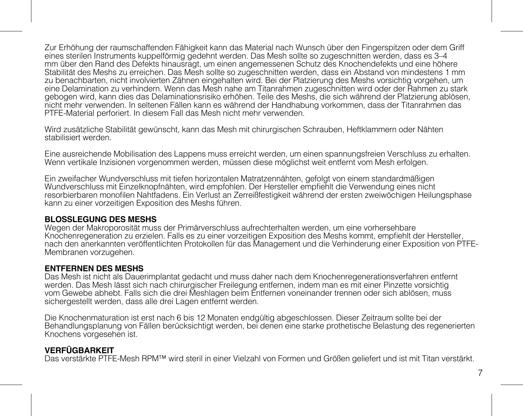Zur Erhöhung der raumschaffenden Fähigkeit kann das Material nach Wunsch über den Fingerspitzen oder dem Griff eines sterilen Instruments kuppelförmig gedehnt werden. Das Mesh sollte so zugeschnitten werden, dass es 3–4 mm über den Rand des Defekts hinausragt, um einen angemessenen Schutz des Knochendefekts und eine höhere Stabilität des Meshs zu erreichen. Das Mesh sollte so zugeschnitten werden, dass ein Abstand von mindestens 1 mm zu benachbarten, nicht involvierten Zähnen eingehalten wird. Bei der Platzierung des Meshs vorsichtig vorgehen, um eine Delamination zu verhindern. Wenn das Mesh nahe am Titanrahmen zugeschnitten wird oder der Rahmen zu stark gebogen wird, kann dies das Delaminationsrisiko erhöhen. Teile des Meshs, die sich während der Platzierung ablösen, nicht mehr verwenden. In seltenen Fällen kann es während der Handhabung vorkommen, dass der Titanrahmen das PTFE-Material perforiert. In diesem Fall das Mesh nicht mehr verwenden.

Wird zusätzliche Stabilität gewünscht, kann das Mesh mit chirurgischen Schrauben, Heftklammern oder Nähten stabilisiert werden.

Eine ausreichende Mobilisation des Lappens muss erreicht werden, um einen spannungsfreien Verschluss zu erhalten. Wenn vertikale Inzisionen vorgenommen werden, müssen diese möglichst weit entfernt vom Mesh erfolgen.

Ein zweifacher Wundverschluss mit tiefen horizontalen Matratzennähten, gefolgt von einem standardmäßigen Wundverschluss mit Einzelknopfnähten, wird empfohlen. Der Hersteller empfiehlt die Verwendung eines nicht resorbierbaren monofilen Nahtfadens. Ein Verlust an Zerreißfestigkeit während der ersten zweiwöchigen Heilungsphase kann zu einer vorzeitigen Exposition des Meshs führen.

### **BLOSSLEGUNG DES MESHS**

Wegen der Makroporosität muss der Primärverschluss aufrechterhalten werden, um eine vorhersehbare Knochenregeneration zu erzielen. Falls es zu einer vorzeitigen Exposition des Meshs kommt, empfiehlt der Hersteller, nach den anerkannten veröffentlichten Protokollen für das Management und die Verhinderung einer Exposition von PTFE-Membranen vorzugehen.

### **ENTFERNEN DES MESHS**

Das Mesh ist nicht als Dauerimplantat gedacht und muss daher nach dem Knochenregenerationsverfahren entfernt werden. Das Mesh lässt sich nach chirurgischer Freilegung entfernen, indem man es mit einer Pinzette vorsichtig vom Gewebe abhebt. Falls sich die drei Meshlagen beim Entfernen voneinander trennen oder sich ablösen, muss sichergestellt werden, dass alle drei Lagen entfernt werden.

Die Knochenmaturation ist erst nach 6 bis 12 Monaten endgültig abgeschlossen. Dieser Zeitraum sollte bei der Behandlungsplanung von Fällen berücksichtigt werden, bei denen eine starke prothetische Belastung des regenerierten Knochens vorgesehen ist.

## **VERFÜGBARKEIT**

Das verstärkte PTFE-Mesh RPM™ wird steril in einer Vielzahl von Formen und Größen geliefert und ist mit Titan verstärkt.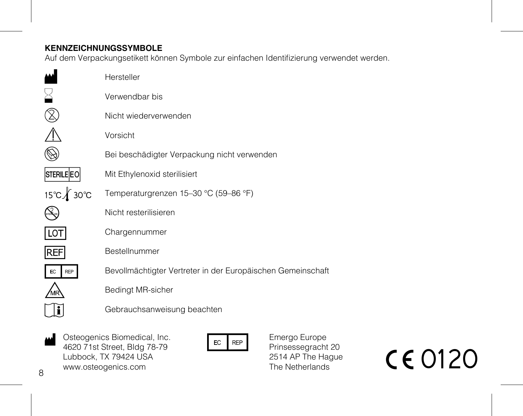## **KENNZEICHNUNGSSYMBOLE**

Auf dem Verpackungsetikett können Symbole zur einfachen Identifizierung verwendet werden.

|                  | Hersteller                                                  |
|------------------|-------------------------------------------------------------|
|                  | Verwendbar bis                                              |
|                  | Nicht wiederverwenden                                       |
|                  | Vorsicht                                                    |
|                  | Bei beschädigter Verpackung nicht verwenden                 |
| STERILE EO       | Mit Ethylenoxid sterilisiert                                |
| 15℃ <b>1</b> 30℃ | Temperaturgrenzen 15-30 °C (59-86 °F)                       |
|                  | Nicht resterilisieren                                       |
| LO I             | Chargennummer                                               |
| REF              | Bestellnummer                                               |
| REP              | Bevollmächtigter Vertreter in der Europäischen Gemeinschaft |
|                  | Bedingt MR-sicher                                           |
|                  | Gebrauchsanweisung beachten                                 |
|                  |                                                             |

Osteogenics Biomedical, Inc. 4620 71st Street, Bldg 78-79 Lubbock, TX 79424 USA www.osteogenics.com A Osteogenics Biomedical, Inc.<br>
4620 71st Street, Bldg 78-79<br>
Lubbock, Tx 79424 USA<br>
www.osteogenics.com<br>
We are the Netherlands<br>
The Netherlands<br>
The Netherlands<br>
The Netherlands<br>
The Netherlands<br>
The Netherlands<br>
The Net

Emergo Europe Prinsessegracht 20 2514 AP The Hague The Netherlands

8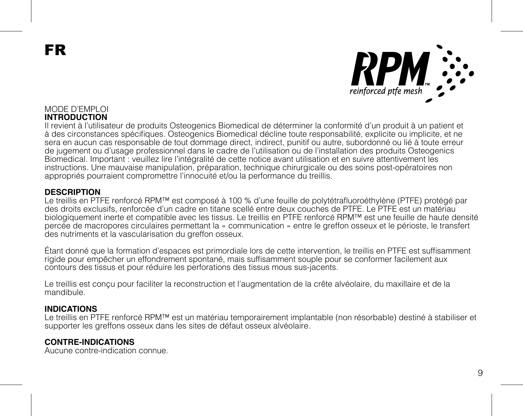FR



### MODE D'EMPLOI **INTRODUCTION**

Il revient à l'utilisateur de produits Osteogenics Biomedical de déterminer la conformité d'un produit à un patient et à des circonstances spécifiques. Osteogenics Biomedical décline toute responsabilité, explicite ou implicite, et ne sera en aucun cas responsable de tout dommage direct, indirect, punitif ou autre, subordonné ou lié à toute erreur de jugement ou d'usage professionnel dans le cadre de l'utilisation ou de l'installation des produits Osteogenics Biomedical. Important : veuillez lire l'intégralité de cette notice avant utilisation et en suivre attentivement les instructions. Une mauvaise manipulation, préparation, technique chirurgicale ou des soins post-opératoires non appropriés pourraient compromettre l'innocuité et/ou la performance du treillis.

#### **DESCRIPTION**

Le treillis en PTFE renforcé RPM™ est composé à 100 % d'une feuille de polytétrafluoroéthylène (PTFE) protégé par des droits exclusifs, renforcée d'un cadre en titane scellé entre deux couches de PTFE. Le PTFE est un matériau biologiquement inerte et compatible avec les tissus. Le treillis en PTFE renforcé RPM™ est une feuille de haute densité percée de macropores circulaires permettant la « communication » entre le greffon osseux et le périoste, le transfert des nutriments et la vascularisation du greffon osseux.

Étant donné que la formation d'espaces est primordiale lors de cette intervention, le treillis en PTFE est suffisamment rigide pour empêcher un effondrement spontané, mais suffisamment souple pour se conformer facilement aux contours des tissus et pour réduire les perforations des tissus mous sus-jacents.

Le treillis est conçu pour faciliter la reconstruction et l'augmentation de la crête alvéolaire, du maxillaire et de la mandibule.

#### **INDICATIONS**

Le treillis en PTFE renforcé RPM™ est un matériau temporairement implantable (non résorbable) destiné à stabiliser et supporter les greffons osseux dans les sites de défaut osseux alvéolaire.

#### **CONTRE-INDICATIONS**

Aucune contre-indication connue.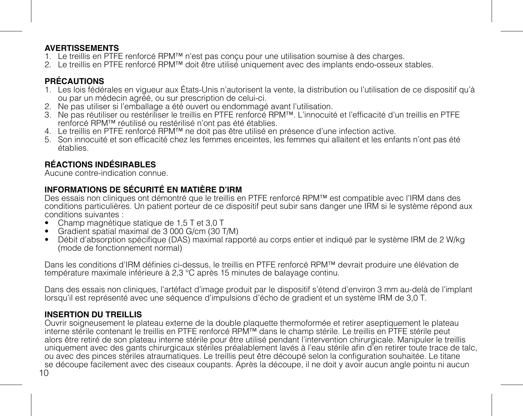### **AVERTISSEMENTS**

- 1. Le treillis en PTFE renforcé RPM™ n'est pas conçu pour une utilisation soumise à des charges.
- 2. Le treillis en PTFE renforcé RPM™ doit être utilisé uniquement avec des implants endo-osseux stables.

## **PRÉCAUTIONS**

- 1. Les lois fédérales en vigueur aux États-Unis n'autorisent la vente, la distribution ou l'utilisation de ce dispositif qu'à ou par un médecin agréé, ou sur prescription de celui-ci.
- 2. Ne pas utiliser si l'emballage a été ouvert ou endommagé avant l'utilisation.
- 3. Ne pas réutiliser ou restériliser le treillis en PTFE renforcé RPM™. L'innocuité et l'efficacité d'un treillis en PTFE renforcé RPM™ réutilisé ou restérilisé n'ont pas été établies.
- 4. Le treillis en PTFE renforcé RPM™ ne doit pas être utilisé en présence d'une infection active.
- 5. Son innocuité et son efficacité chez les femmes enceintes, les femmes qui allaitent et les enfants n'ont pas été établies.

## **RÉACTIONS INDÉSIRABLES**

Aucune contre-indication connue.

## **INFORMATIONS DE SÉCURITÉ EN MATIÈRE D'IRM**

Des essais non cliniques ont démontré que le treillis en PTFE renforcé RPM™ est compatible avec l'IRM dans des conditions particulières. Un patient porteur de ce dispositif peut subir sans danger une IRM si le système répond aux conditions suivantes :

- Champ magnétique statique de 1,5 T et 3,0 T
- Gradient spatial maximal de 3 000 G/cm (30 T/M)
- Débit d'absorption spécifique (DAS) maximal rapporté au corps entier et indiqué par le système IRM de 2 W/kg (mode de fonctionnement normal)

Dans les conditions d'IRM définies ci-dessus, le treillis en PTFE renforcé RPM™ devrait produire une élévation de température maximale inférieure à 2,3 °C après 15 minutes de balayage continu.

Dans des essais non cliniques, l'artéfact d'image produit par le dispositif s'étend d'environ 3 mm au-delà de l'implant lorsqu'il est représenté avec une séquence d'impulsions d'écho de gradient et un système IRM de 3,0 T.

## **INSERTION DU TREILLIS**

10 Ouvrir soigneusement le plateau externe de la double plaquette thermoformée et retirer aseptiquement le plateau interne stérile contenant le treillis en PTFE renforcé RPM™ dans le champ stérile. Le treillis en PTFE stérile peut alors être retiré de son plateau interne stérile pour être utilisé pendant l'intervention chirurgicale. Manipuler le treillis uniquement avec des gants chirurgicaux stériles préalablement lavés à l'eau stérile afin d'en retirer toute trace de talc, ou avec des pinces stériles atraumatiques. Le treillis peut être découpé selon la configuration souhaitée. Le titane se découpe facilement avec des ciseaux coupants. Après la découpe, il ne doit y avoir aucun angle pointu ni aucun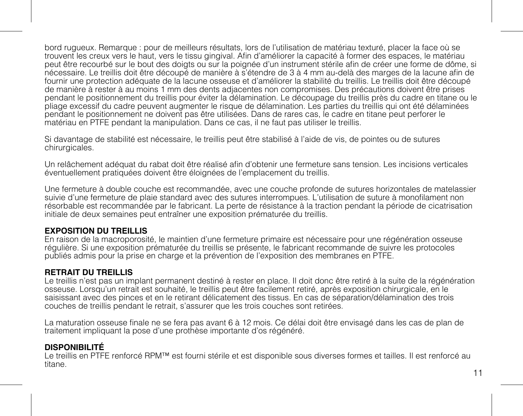bord rugueux. Remarque : pour de meilleurs résultats, lors de l'utilisation de matériau texturé, placer la face où se trouvent les creux vers le haut, vers le tissu gingival. Afin d'améliorer la capacité à former des espaces, le matériau peut être recourbé sur le bout des doigts ou sur la poignée d'un instrument stérile afin de créer une forme de dôme, si nécessaire. Le treillis doit être découpé de manière à s'étendre de 3 à 4 mm au-delà des marges de la lacune afin de fournir une protection adéquate de la lacune osseuse et d'améliorer la stabilité du treillis. Le treillis doit être découpé de manière à rester à au moins 1 mm des dents adjacentes non compromises. Des précautions doivent être prises pendant le positionnement du treillis pour éviter la délamination. Le découpage du treillis près du cadre en titane ou le pliage excessif du cadre peuvent augmenter le risque de délamination. Les parties du treillis qui ont été délaminées pendant le positionnement ne doivent pas être utilisées. Dans de rares cas, le cadre en titane peut perforer le matériau en PTFE pendant la manipulation. Dans ce cas, il ne faut pas utiliser le treillis.

Si davantage de stabilité est nécessaire, le treillis peut être stabilisé à l'aide de vis, de pointes ou de sutures chirurgicales.

Un relâchement adéquat du rabat doit être réalisé afin d'obtenir une fermeture sans tension. Les incisions verticales éventuellement pratiquées doivent être éloignées de l'emplacement du treillis.

Une fermeture à double couche est recommandée, avec une couche profonde de sutures horizontales de matelassier suivie d'une fermeture de plaie standard avec des sutures interrompues. L'utilisation de suture à monofilament non résorbable est recommandée par le fabricant. La perte de résistance à la traction pendant la période de cicatrisation initiale de deux semaines peut entraîner une exposition prématurée du treillis.

#### **EXPOSITION DU TREILLIS**

En raison de la macroporosité, le maintien d'une fermeture primaire est nécessaire pour une régénération osseuse régulière. Si une exposition prématurée du treillis se présente, le fabricant recommande de suivre les protocoles publiés admis pour la prise en charge et la prévention de l'exposition des membranes en PTFE.

#### **RETRAIT DU TREILLIS**

Le treillis n'est pas un implant permanent destiné à rester en place. Il doit donc être retiré à la suite de la régénération osseuse. Lorsqu'un retrait est souhaité, le treillis peut être facilement retiré, après exposition chirurgicale, en le saisissant avec des pinces et en le retirant délicatement des tissus. En cas de séparation/délamination des trois couches de treillis pendant le retrait, s'assurer que les trois couches sont retirées.

La maturation osseuse finale ne se fera pas avant 6 à 12 mois. Ce délai doit être envisagé dans les cas de plan de traitement impliquant la pose d'une prothèse importante d'os régénéré.

### **DISPONIBILITÉ**

Le treillis en PTFE renforcé RPM™ est fourni stérile et est disponible sous diverses formes et tailles. Il est renforcé au titane.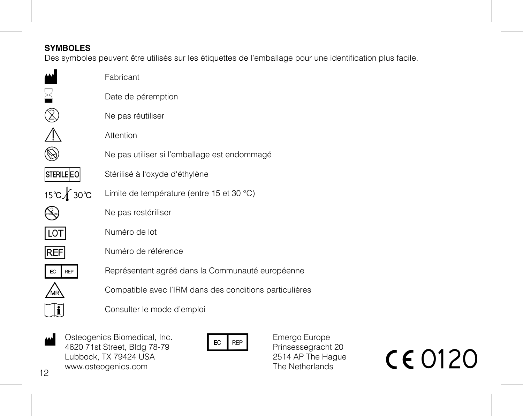## **SYMBOLES**

Des symboles peuvent être utilisés sur les étiquettes de l'emballage pour une identification plus facile.

|                  | Fabricant                                               |
|------------------|---------------------------------------------------------|
|                  | Date de péremption                                      |
|                  | Ne pas réutiliser                                       |
|                  | Attention                                               |
|                  | Ne pas utiliser si l'emballage est endommagé            |
| STERILE EO       | Stérilisé à l'oxyde d'éthylène                          |
| 15℃ <b>1</b> 30℃ | Limite de température (entre 15 et 30 °C)               |
|                  | Ne pas restériliser                                     |
|                  | Numéro de lot                                           |
| <b>IREF</b>      | Numéro de référence                                     |
| <b>REP</b>       | Représentant agréé dans la Communauté européenne        |
|                  | Compatible avec l'IRM dans des conditions particulières |
|                  | Consulter le mode d'emploi                              |
|                  |                                                         |

Osteogenics Biomedical, Inc. 4620 71st Street, Bldg 78-79 Lubbock, TX 79424 USA www.osteogenics.com  $\begin{array}{llll}\n\text{Useogenesis Biomedical, Inc.} & \text{Eer } \text{Rep} & \text{Energy Europe} \\
\text{4620 71st Street, Bdeg } \text{Berg } \text{Berg } \text{Berg} & \text{Pringsesgradient 20} \\
\text{Lubback, TX 79424 USA} & \text{Berg } \text{Berg} & \text{The Netherlands} & \text{C} & \text{O120}\n\end{array}$ 

Emergo Europe Prinsessegracht 20 2514 AP The Hague The Netherlands

12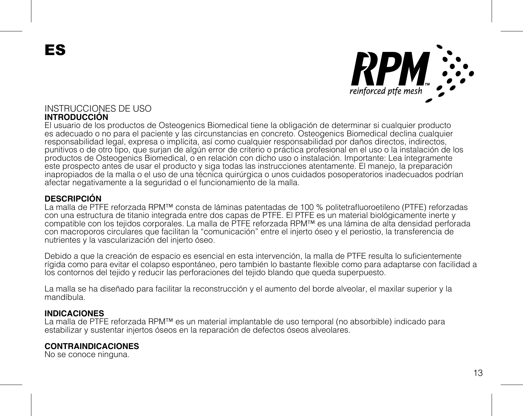ES



### INSTRUCCIONES DE USO **INTRODUCCIÓN**

El usuario de los productos de Osteogenics Biomedical tiene la obligación de determinar si cualquier producto es adecuado o no para el paciente y las circunstancias en concreto. Osteogenics Biomedical declina cualquier responsabilidad legal, expresa o implícita, así como cualquier responsabilidad por daños directos, indirectos, punitivos o de otro tipo, que surjan de algún error de criterio o práctica profesional en el uso o la instalación de los productos de Osteogenics Biomedical, o en relación con dicho uso o instalación. Importante: Lea íntegramente este prospecto antes de usar el producto y siga todas las instrucciones atentamente. El manejo, la preparación inapropiados de la malla o el uso de una técnica quirúrgica o unos cuidados posoperatorios inadecuados podrían afectar negativamente a la seguridad o el funcionamiento de la malla.

#### **DESCRIPCIÓN**

La malla de PTFE reforzada RPM™ consta de láminas patentadas de 100 % politetrafluoroetileno (PTFE) reforzadas con una estructura de titanio integrada entre dos capas de PTFE. El PTFE es un material biológicamente inerte y compatible con los tejidos corporales. La malla de PTFE reforzada RPM™ es una lámina de alta densidad perforada con macroporos circulares que facilitan la "comunicación" entre el injerto óseo y el periostio, la transferencia de nutrientes y la vascularización del injerto óseo.

Debido a que la creación de espacio es esencial en esta intervención, la malla de PTFE resulta lo suficientemente rígida como para evitar el colapso espontáneo, pero también lo bastante flexible como para adaptarse con facilidad a los contornos del tejido y reducir las perforaciones del tejido blando que queda superpuesto.

La malla se ha diseñado para facilitar la reconstrucción y el aumento del borde alveolar, el maxilar superior y la mandíbula.

#### **INDICACIONES**

La malla de PTFE reforzada RPM™ es un material implantable de uso temporal (no absorbible) indicado para estabilizar y sustentar injertos óseos en la reparación de defectos óseos alveolares.

#### **CONTRAINDICACIONES**

No se conoce ninguna.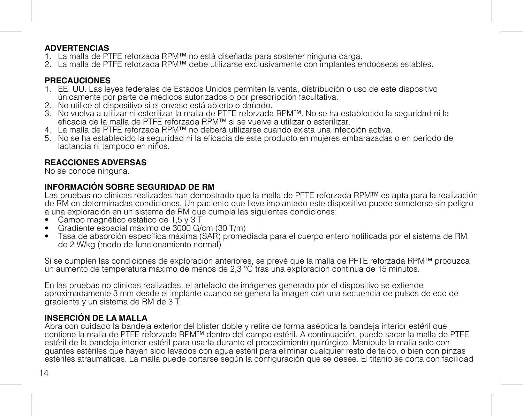### **ADVERTENCIAS**

- 1. La malla de PTFE reforzada RPM™ no está diseñada para sostener ninguna carga.
- 2. La malla de PTFE reforzada RPM™ debe utilizarse exclusivamente con implantes endoóseos estables.

## **PRECAUCIONES**

- 1. EE. UU. Las leyes federales de Estados Unidos permiten la venta, distribución o uso de este dispositivo únicamente por parte de médicos autorizados o por prescripción facultativa.
- 2. No utilice el dispositivo si el envase está abierto o dañado.
- 3. No vuelva a utilizar ni esterilizar la malla de PTFE reforzada RPM™. No se ha establecido la seguridad ni la eficacia de la malla de PTFE reforzada RPM™ si se vuelve a utilizar o esterilizar.
- 4. La malla de PTFE reforzada RPM™ no deberá utilizarse cuando exista una infección activa.
- 5. No se ha establecido la seguridad ni la eficacia de este producto en mujeres embarazadas o en período de lactancia ni tampoco en niños.

## **REACCIONES ADVERSAS**

No se conoce ninguna.

## **INFORMACIÓN SOBRE SEGURIDAD DE RM**

Las pruebas no clínicas realizadas han demostrado que la malla de PFTE reforzada RPM™ es apta para la realización de RM en determinadas condiciones. Un paciente que lleve implantado este dispositivo puede someterse sin peligro a una exploración en un sistema de RM que cumpla las siguientes condiciones:

- Campo magnético estático de 1,5 y 3 T
- Gradiente espacial máximo de 3000 G/cm (30 T/m)
- Tasa de absorción específica máxima (SAR) promediada para el cuerpo entero notificada por el sistema de RM de 2 W/kg (modo de funcionamiento normal)

Si se cumplen las condiciones de exploración anteriores, se prevé que la malla de PETE reforzada RPM™ produzca un aumento de temperatura máximo de menos de 2,3 °C tras una exploración continua de 15 minutos.

En las pruebas no clínicas realizadas, el artefacto de imágenes generado por el dispositivo se extiende aproximadamente 3 mm desde el implante cuando se genera la imagen con una secuencia de pulsos de eco de gradiente y un sistema de RM de 3 T.

## **INSERCIÓN DE LA MALLA**

Abra con cuidado la bandeja exterior del blíster doble y retire de forma aséptica la bandeja interior estéril que contiene la malla de PTFE reforzada RPM™ dentro del campo estéril. A continuación, puede sacar la malla de PTFE estéril de la bandeja interior estéril para usarla durante el procedimiento quirúrgico. Manipule la malla solo con guantes estériles que hayan sido lavados con agua estéril para eliminar cualquier resto de talco, o bien con pinzas estériles atraumáticas. La malla puede cortarse según la configuración que se desee. El titanio se corta con facilidad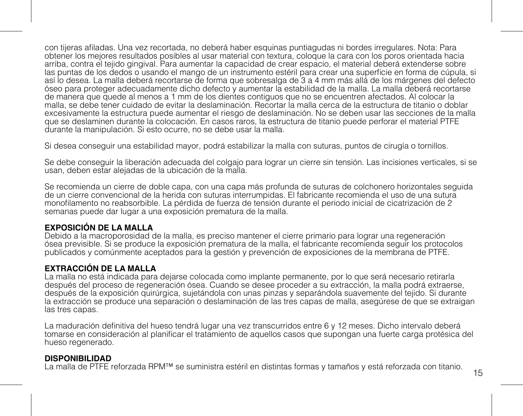con tijeras afiladas. Una vez recortada, no deberá haber esquinas puntiagudas ni bordes irregulares. Nota: Para obtener los mejores resultados posibles al usar material con textura, coloque la cara con los poros orientada hacia arriba, contra el tejido gingival. Para aumentar la capacidad de crear espacio, el material deberá extenderse sobre las puntas de los dedos o usando el mango de un instrumento estéril para crear una superficie en forma de cúpula, si así lo desea. La malla deberá recortarse de forma que sobresalga de 3 a 4 mm más allá de los márgenes del defecto óseo para proteger adecuadamente dicho defecto y aumentar la estabilidad de la malla. La malla deberá recortarse de manera que quede al menos a 1 mm de los dientes contiguos que no se encuentren afectados. Al colocar la malla, se debe tener cuidado de evitar la deslaminación. Recortar la malla cerca de la estructura de titanio o doblar excesivamente la estructura puede aumentar el riesgo de deslaminación. No se deben usar las secciones de la malla que se deslaminen durante la colocación. En casos raros, la estructura de titanio puede perforar el material PTFE durante la manipulación. Si esto ocurre, no se debe usar la malla.

Si desea conseguir una estabilidad mayor, podrá estabilizar la malla con suturas, puntos de cirugía o tornillos.

Se debe conseguir la liberación adecuada del colgajo para lograr un cierre sin tensión. Las incisiones verticales, si se usan, deben estar alejadas de la ubicación de la malla.

Se recomienda un cierre de doble capa, con una capa más profunda de suturas de colchonero horizontales seguida de un cierre convencional de la herida con suturas interrumpidas. El fabricante recomienda el uso de una sutura monofilamento no reabsorbible. La pérdida de fuerza de tensión durante el periodo inicial de cicatrización de 2 semanas puede dar lugar a una exposición prematura de la malla.

## **EXPOSICIÓN DE LA MALLA**

Debido a la macroporosidad de la malla, es preciso mantener el cierre primario para lograr una regeneración ósea previsible. Si se produce la exposición prematura de la malla, el fabricante recomienda seguir los protocolos publicados y comúnmente aceptados para la gestión y prevención de exposiciones de la membrana de PTFE.

## **EXTRACCIÓN DE LA MALLA**

La malla no está indicada para dejarse colocada como implante permanente, por lo que será necesario retirarla después del proceso de regeneración ósea. Cuando se desee proceder a su extracción, la malla podrá extraerse, después de la exposición quirúrgica, sujetándola con unas pinzas y separándola suavemente del tejido. Si durante la extracción se produce una separación o deslaminación de las tres capas de malla, asegúrese de que se extraigan las tres capas.

La maduración definitiva del hueso tendrá lugar una vez transcurridos entre 6 y 12 meses. Dicho intervalo deberá tomarse en consideración al planificar el tratamiento de aquellos casos que supongan una fuerte carga protésica del hueso regenerado.

#### **DISPONIBILIDAD**

La malla de PTFE reforzada RPM™ se suministra estéril en distintas formas y tamaños y está reforzada con titanio.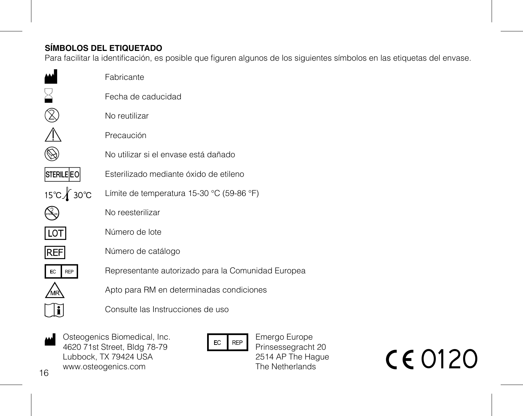## **SÍMBOLOS DEL ETIQUETADO**

Para facilitar la identificación, es posible que figuren algunos de los siguientes símbolos en las etiquetas del envase.

|                   | Fabricante                                         |
|-------------------|----------------------------------------------------|
|                   | Fecha de caducidad                                 |
|                   | No reutilizar                                      |
|                   | Precaución                                         |
|                   | No utilizar si el envase está dañado               |
| <b>STERILE EO</b> | Esterilizado mediante óxido de etileno             |
| 15℃∦ 30℃          | Límite de temperatura 15-30 °C (59-86 °F)          |
|                   | No reesterilizar                                   |
| LO <sub>1</sub>   | Número de lote                                     |
| <b>REF</b>        | Número de catálogo                                 |
| EC<br><b>REP</b>  | Representante autorizado para la Comunidad Europea |
|                   | Apto para RM en determinadas condiciones           |
|                   | Consulte las Instrucciones de uso                  |
|                   |                                                    |

16 Osteogenics Biomedical, Inc. 4620 71st Street, Bldg 78-79 Lubbock, TX 79424 USA www.osteogenics.com A Osteogenics Biomedical, Inc.<br>
4620 71st Street, Bldg 78-79<br>
Lubbock, Tx 79424 USA<br>
www.osteogenics.com<br>
S We CO120



Emergo Europe Prinsessegracht 20 2514 AP The Hague The Netherlands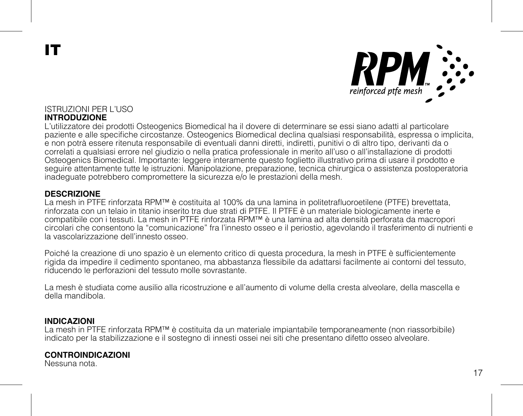IT



#### ISTRUZIONI PER L'USO **INTRODUZIONE**

L'utilizzatore dei prodotti Osteogenics Biomedical ha il dovere di determinare se essi siano adatti al particolare paziente e alle specifiche circostanze. Osteogenics Biomedical declina qualsiasi responsabilità, espressa o implicita e non potrà essere ritenuta responsabile di eventuali danni diretti, indiretti, punitivi o di altro tipo, derivanti da o correlati a qualsiasi errore nel giudizio o nella pratica professionale in merito all'uso o all'installazione di prodotti Osteogenics Biomedical. Importante: leggere interamente questo foglietto illustrativo prima di usare il prodotto e seguire attentamente tutte le istruzioni. Manipolazione, preparazione, tecnica chirurgica o assistenza postoperatoria inadeguate potrebbero compromettere la sicurezza e/o le prestazioni della mesh.

#### **DESCRIZIONE**

La mesh in PTFE rinforzata RPM™ è costituita al 100% da una lamina in politetrafluoroetilene (PTFE) brevettata, rinforzata con un telaio in titanio inserito tra due strati di PTFE. Il PTFE è un materiale biologicamente inerte e compatibile con i tessuti. La mesh in PTFE rinforzata RPM™ è una lamina ad alta densità perforata da macropori circolari che consentono la "comunicazione" fra l'innesto osseo e il periostio, agevolando il trasferimento di nutrienti e la vascolarizzazione dell'innesto osseo.

Poiché la creazione di uno spazio è un elemento critico di questa procedura, la mesh in PTFE è sufficientemente rigida da impedire il cedimento spontaneo, ma abbastanza flessibile da adattarsi facilmente ai contorni del tessuto, riducendo le perforazioni del tessuto molle sovrastante.

La mesh è studiata come ausilio alla ricostruzione e all'aumento di volume della cresta alveolare, della mascella e della mandibola.

#### **INDICAZIONI**

La mesh in PTFE rinforzata RPM™ è costituita da un materiale impiantabile temporaneamente (non riassorbibile) indicato per la stabilizzazione e il sostegno di innesti ossei nei siti che presentano difetto osseo alveolare.

### **CONTROINDICAZIONI**

Nessuna nota.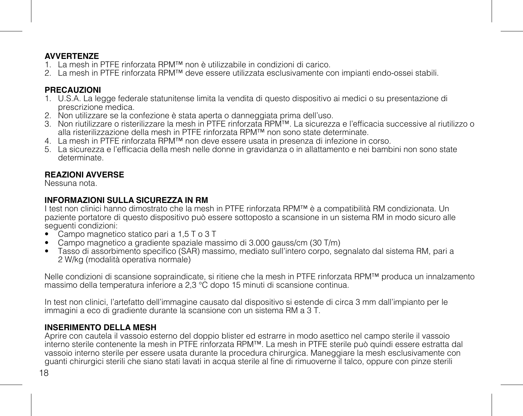### **AVVERTENZE**

- 1. La mesh in PTFE rinforzata RPM™ non è utilizzabile in condizioni di carico.
- 2. La mesh in PTFE rinforzata RPM™ deve essere utilizzata esclusivamente con impianti endo-ossei stabili.

### **PRECAUZIONI**

- 1. U.S.A. La legge federale statunitense limita la vendita di questo dispositivo ai medici o su presentazione di prescrizione medica.
- 2. Non utilizzare se la confezione è stata aperta o danneggiata prima dell'uso.
- 3. Non riutilizzare o risterilizzare la mesh in PTFE rinforzata RPM™. La sicurezza e l'efficacia successive al riutilizzo o alla risterilizzazione della mesh in PTFE rinforzata RPM™ non sono state determinate.
- 4. La mesh in PTFE rinforzata RPM™ non deve essere usata in presenza di infezione in corso.
- 5. La sicurezza e l'efficacia della mesh nelle donne in gravidanza o in allattamento e nei bambini non sono state determinate.

### **REAZIONI AVVERSE**

Nessuna nota.

### **INFORMAZIONI SULLA SICUREZZA IN RM**

I test non clinici hanno dimostrato che la mesh in PTFE rinforzata RPM™ è a compatibilità RM condizionata. Un paziente portatore di questo dispositivo può essere sottoposto a scansione in un sistema RM in modo sicuro alle seguenti condizioni:

- Campo magnetico statico pari a 1,5 T o 3 T
- Campo magnetico a gradiente spaziale massimo di 3.000 gauss/cm (30 T/m)
- Tasso di assorbimento specifico (SAR) massimo, mediato sull'intero corpo, segnalato dal sistema RM, pari a 2 W/kg (modalità operativa normale)

Nelle condizioni di scansione sopraindicate, si ritiene che la mesh in PTFE rinforzata RPM™ produca un innalzamento massimo della temperatura inferiore a 2,3 °C dopo 15 minuti di scansione continua.

In test non clinici, l'artefatto dell'immagine causato dal dispositivo si estende di circa 3 mm dall'impianto per le immagini a eco di gradiente durante la scansione con un sistema RM a 3 T.

## **INSERIMENTO DELLA MESH**

Aprire con cautela il vassoio esterno del doppio blister ed estrarre in modo asettico nel campo sterile il vassoio interno sterile contenente la mesh in PTFE rinforzata RPM™. La mesh in PTFE sterile può quindi essere estratta dal vassoio interno sterile per essere usata durante la procedura chirurgica. Maneggiare la mesh esclusivamente con guanti chirurgici sterili che siano stati lavati in acqua sterile al fine di rimuoverne il talco, oppure con pinze sterili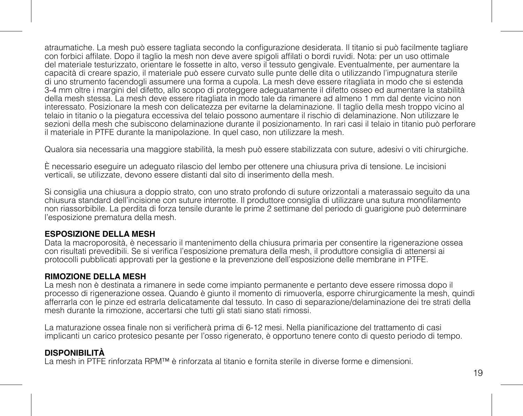atraumatiche. La mesh può essere tagliata secondo la configurazione desiderata. Il titanio si può facilmente tagliare con forbici affilate. Dopo il taglio la mesh non deve avere spigoli affilati o bordi ruvidi. Nota: per un uso ottimale del materiale testurizzato, orientare le fossette in alto, verso il tessuto gengivale. Eventualmente, per aumentare la capacità di creare spazio, il materiale può essere curvato sulle punte delle dita o utilizzando l'impugnatura sterile di uno strumento facendogli assumere una forma a cupola. La mesh deve essere ritagliata in modo che si estenda 3-4 mm oltre i margini del difetto, allo scopo di proteggere adeguatamente il difetto osseo ed aumentare la stabilità della mesh stessa. La mesh deve essere ritagliata in modo tale da rimanere ad almeno 1 mm dal dente vicino non interessato. Posizionare la mesh con delicatezza per evitarne la delaminazione. Il taglio della mesh troppo vicino al telaio in titanio o la piegatura eccessiva del telaio possono aumentare il rischio di delaminazione. Non utilizzare le sezioni della mesh che subiscono delaminazione durante il posizionamento. In rari casi il telaio in titanio può perforare il materiale in PTFE durante la manipolazione. In quel caso, non utilizzare la mesh.

Qualora sia necessaria una maggiore stabilità, la mesh può essere stabilizzata con suture, adesivi o viti chirurgiche.

È necessario eseguire un adeguato rilascio del lembo per ottenere una chiusura priva di tensione. Le incisioni verticali, se utilizzate, devono essere distanti dal sito di inserimento della mesh.

Si consiglia una chiusura a doppio strato, con uno strato profondo di suture orizzontali a materassaio seguito da una chiusura standard dell'incisione con suture interrotte. Il produttore consiglia di utilizzare una sutura monofilamento non riassorbibile. La perdita di forza tensile durante le prime 2 settimane del periodo di guarigione può determinare l'esposizione prematura della mesh.

### **ESPOSIZIONE DELLA MESH**

Data la macroporosità, è necessario il mantenimento della chiusura primaria per consentire la rigenerazione ossea con risultati prevedibili. Se si verifica l'esposizione prematura della mesh, il produttore consiglia di attenersi ai protocolli pubblicati approvati per la gestione e la prevenzione dell'esposizione delle membrane in PTFE.

### **RIMOZIONE DELLA MESH**

La mesh non è destinata a rimanere in sede come impianto permanente e pertanto deve essere rimossa dopo il processo di rigenerazione ossea. Quando è giunto il momento di rimuoverla, esporre chirurgicamente la mesh, quindi afferrarla con le pinze ed estrarla delicatamente dal tessuto. In caso di separazione/delaminazione dei tre strati della mesh durante la rimozione, accertarsi che tutti gli stati siano stati rimossi.

La maturazione ossea finale non si verificherà prima di 6-12 mesi. Nella pianificazione del trattamento di casi implicanti un carico protesico pesante per l'osso rigenerato, è opportuno tenere conto di questo periodo di tempo.

## **DISPONIBILITÀ**

La mesh in PTFE rinforzata RPM™ è rinforzata al titanio e fornita sterile in diverse forme e dimensioni.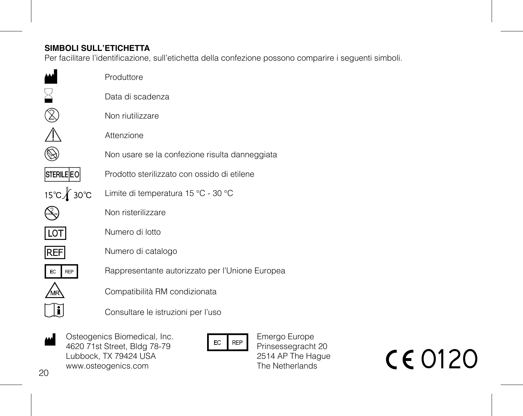## **SIMBOLI SULL'ETICHETTA**

Per facilitare l'identificazione, sull'etichetta della confezione possono comparire i seguenti simboli.

| Produttore                                      |
|-------------------------------------------------|
| Data di scadenza                                |
| Non riutilizzare                                |
| Attenzione                                      |
| Non usare se la confezione risulta danneggiata  |
| Prodotto sterilizzato con ossido di etilene     |
| Limite di temperatura 15 °C - 30 °C             |
| Non risterilizzare                              |
| Numero di lotto                                 |
| Numero di catalogo                              |
| Rappresentante autorizzato per l'Unione Europea |
| Compatibilità RM condizionata                   |
| Consultare le istruzioni per l'uso              |
|                                                 |

 $20$ Osteogenics Biomedical, Inc. 4620 71st Street, Bldg 78-79 Lubbock, TX 79424 USA www.osteogenics.com  $\frac{M}{4620 \text{ z} \cdot 1 \text{ s} \cdot \text{Stree}}$ Costeogenics Biomedical, Inc.<br>
Lubbock, TX 79424 USA<br>
University Construction of the Reprosess com The Netherlands<br>
The Netherlands<br>
The Netherlands<br>
CCO120



Emergo Europe Prinsessegracht 20 2514 AP The Hague The Netherlands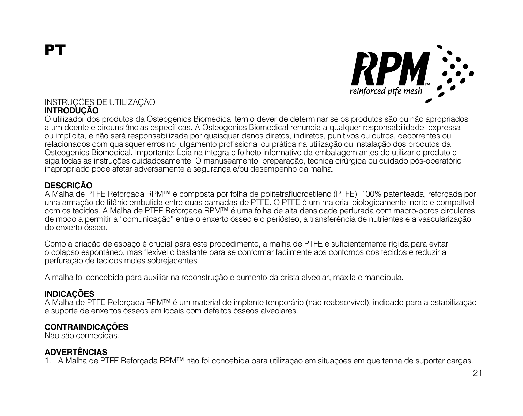**PT** 



## INSTRUÇÕES DE UTILIZAÇÃO **INTRODUÇÃO**

O utilizador dos produtos da Osteogenics Biomedical tem o dever de determinar se os produtos são ou não apropriados a um doente e circunstâncias específicas. A Osteogenics Biomedical renuncia a qualquer responsabilidade, expressa ou implícita, e não será responsabilizada por quaisquer danos diretos, indiretos, punitivos ou outros, decorrentes ou relacionados com quaisquer erros no julgamento profissional ou prática na utilização ou instalação dos produtos da Osteogenics Biomedical. Importante: Leia na íntegra o folheto informativo da embalagem antes de utilizar o produto e siga todas as instruções cuidadosamente. O manuseamento, preparação, técnica cirúrgica ou cuidado pós-operatório inapropriado pode afetar adversamente a segurança e/ou desempenho da malha.

### **DESCRIÇÃO**

A Malha de PTFE Reforçada RPM™ é composta por folha de politetrafluoroetileno (PTFE), 100% patenteada, reforçada por uma armação de titânio embutida entre duas camadas de PTFE. O PTFE é um material biologicamente inerte e compatível com os tecidos. A Malha de PTFE Reforçada RPM™ é uma folha de alta densidade perfurada com macro-poros circulares, de modo a permitir a "comunicação" entre o enxerto ósseo e o periósteo, a transferência de nutrientes e a vascularização do enxerto ósseo.

Como a criação de espaço é crucial para este procedimento, a malha de PTFE é suficientemente rígida para evitar o colapso espontâneo, mas flexível o bastante para se conformar facilmente aos contornos dos tecidos e reduzir a perfuração de tecidos moles sobrejacentes.

A malha foi concebida para auxiliar na reconstrução e aumento da crista alveolar, maxila e mandíbula.

## **INDICAÇÕES**

A Malha de PTFE Reforçada RPM™ é um material de implante temporário (não reabsorvível), indicado para a estabilização e suporte de enxertos ósseos em locais com defeitos ósseos alveolares.

## **CONTRAINDICAÇÕES**

Não são conhecidas.

## **ADVERTÊNCIAS**

1. A Malha de PTFE Reforçada RPM™ não foi concebida para utilização em situações em que tenha de suportar cargas.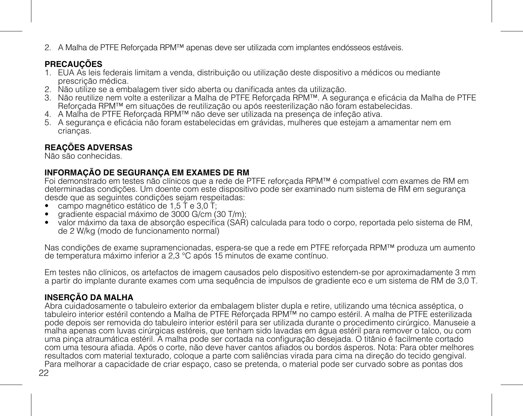2. A Malha de PTFE Reforçada RPM™ apenas deve ser utilizada com implantes endósseos estáveis.

## **PRECAUÇÕES**

- 1. EUA As leis federais limitam a venda, distribuição ou utilização deste dispositivo a médicos ou mediante prescrição médica.
- 2. Não utilize se a embalagem tiver sido aberta ou danificada antes da utilização.
- 3. Não reutilize nem volte a esterilizar a Malha de PTFE Reforçada RPM™. A segurança e eficácia da Malha de PTFE Reforçada RPM™ em situações de reutilização ou após reesterilização não foram estabelecidas.
- 4. A Malha de PTFE Reforçada RPM™ não deve ser utilizada na presença de infeção ativa.
- 5. A segurança e eficácia não foram estabelecidas em grávidas, mulheres que estejam a amamentar nem em crianças.

## **REAÇÕES ADVERSAS**

Não são conhecidas.

## **INFORMAÇÃO DE SEGURANÇA EM EXAMES DE RM**

Foi demonstrado em testes não clínicos que a rede de PTFE reforçada RPM™ é compatível com exames de RM em determinadas condições. Um doente com este dispositivo pode ser examinado num sistema de RM em segurança desde que as seguintes condições sejam respeitadas:

- campo magnético estático de 1,5 T e 3,0 T;
- gradiente espacial máximo de 3000 G/cm (30 T/m);
- valor máximo da taxa de absorção específica (SAR) calculada para todo o corpo, reportada pelo sistema de RM, de 2 W/kg (modo de funcionamento normal)

Nas condições de exame supramencionadas, espera-se que a rede em PTFE reforcada RPM™ produza um aumento de temperatura máximo inferior a 2,3 °C após 15 minutos de exame contínuo.

Em testes não clínicos, os artefactos de imagem causados pelo dispositivo estendem-se por aproximadamente 3 mm a partir do implante durante exames com uma sequência de impulsos de gradiente eco e um sistema de RM de 3,0 T.

## **INSERÇÃO DA MALHA**

22 Abra cuidadosamente o tabuleiro exterior da embalagem blister dupla e retire, utilizando uma técnica asséptica, o tabuleiro interior estéril contendo a Malha de PTFE Reforçada RPM™ no campo estéril. A malha de PTFE esterilizada pode depois ser removida do tabuleiro interior estéril para ser utilizada durante o procedimento cirúrgico. Manuseie a malha apenas com luvas cirúrgicas estéreis, que tenham sido lavadas em água estéril para remover o talco, ou com uma pinça atraumática estéril. A malha pode ser cortada na configuração desejada. O titânio é facilmente cortado com uma tesoura afiada. Após o corte, não deve haver cantos afiados ou bordos ásperos. Nota: Para obter melhores resultados com material texturado, coloque a parte com saliências virada para cima na direção do tecido gengival. Para melhorar a capacidade de criar espaço, caso se pretenda, o material pode ser curvado sobre as pontas dos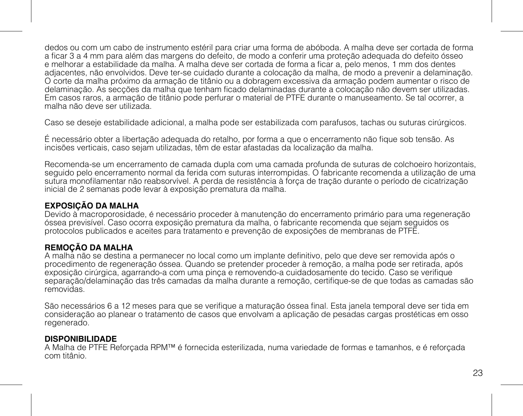dedos ou com um cabo de instrumento estéril para criar uma forma de abóboda. A malha deve ser cortada de forma a ficar 3 a 4 mm para além das margens do defeito, de modo a conferir uma proteção adequada do defeito ósseo e melhorar a estabilidade da malha. A malha deve ser cortada de forma a ficar a, pelo menos, 1 mm dos dentes adjacentes, não envolvidos. Deve ter-se cuidado durante a colocação da malha, de modo a prevenir a delaminação. O corte da malha próximo da armação de titânio ou a dobragem excessiva da armação podem aumentar o risco de delaminação. As secções da malha que tenham ficado delaminadas durante a colocação não devem ser utilizadas. Em casos raros, a armação de titânio pode perfurar o material de PTFE durante o manuseamento. Se tal ocorrer, a malha não deve ser utilizada.

Caso se deseje estabilidade adicional, a malha pode ser estabilizada com parafusos, tachas ou suturas cirúrgicos.

É necessário obter a libertação adequada do retalho, por forma a que o encerramento não fique sob tensão. As incisões verticais, caso sejam utilizadas, têm de estar afastadas da localização da malha.

Recomenda-se um encerramento de camada dupla com uma camada profunda de suturas de colchoeiro horizontais, seguido pelo encerramento normal da ferida com suturas interrompidas. O fabricante recomenda a utilização de uma sutura monofilamentar não reabsorvível. A perda de resistência à força de tração durante o período de cicatrização inicial de 2 semanas pode levar à exposição prematura da malha.

## **EXPOSIÇÃO DA MALHA**

Devido à macroporosidade, é necessário proceder à manutenção do encerramento primário para uma regeneração óssea previsível. Caso ocorra exposição prematura da malha, o fabricante recomenda que sejam seguidos os protocolos publicados e aceites para tratamento e prevenção de exposições de membranas de PTFE.

### **REMOÇÃO DA MALHA**

A malha não se destina a permanecer no local como um implante definitivo, pelo que deve ser removida após o procedimento de regeneração óssea. Quando se pretender proceder à remoção, a malha pode ser retirada, após exposição cirúrgica, agarrando-a com uma pinça e removendo-a cuidadosamente do tecido. Caso se verifique separação/delaminação das três camadas da malha durante a remoção, certifique-se de que todas as camadas são removidas.

São necessários 6 a 12 meses para que se verifique a maturação óssea final. Esta janela temporal deve ser tida em consideração ao planear o tratamento de casos que envolvam a aplicação de pesadas cargas prostéticas em osso regenerado.

#### **DISPONIBILIDADE**

A Malha de PTFE Reforçada RPM™ é fornecida esterilizada, numa variedade de formas e tamanhos, e é reforçada com titânio.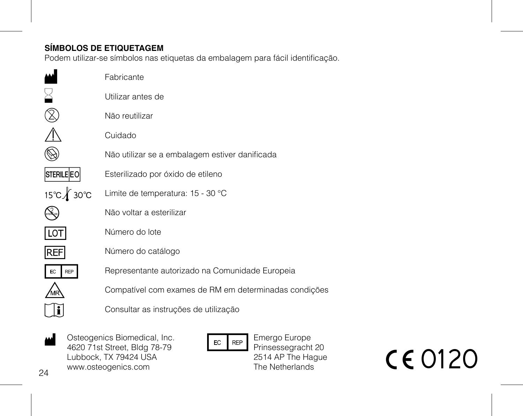## **SÍMBOLOS DE ETIQUETAGEM**

Podem utilizar-se símbolos nas etiquetas da embalagem para fácil identificação.

|                   | Fabricante                                            |
|-------------------|-------------------------------------------------------|
|                   | Utilizar antes de                                     |
|                   | Não reutilizar                                        |
|                   | Cuidado                                               |
|                   | Não utilizar se a embalagem estiver danificada        |
| <b>STERILE EO</b> | Esterilizado por óxido de etileno                     |
| 15℃∦ 30℃          | Limite de temperatura: 15 - 30 °C                     |
|                   | Não voltar a esterilizar                              |
| LO <sub>1</sub>   | Número do lote                                        |
| REF               | Número do catálogo                                    |
| EC<br><b>REP</b>  | Representante autorizado na Comunidade Europeia       |
|                   | Compatível com exames de RM em determinadas condições |
|                   | Consultar as instruções de utilização                 |
|                   |                                                       |

 $24$ Osteogenics Biomedical, Inc. 4620 71st Street, Bldg 78-79 Lubbock, TX 79424 USA www.osteogenics.com M

EC REP

Emergo Europe Prinsessegracht 20 2514 AP The Hague The Netherlands

**CE0120**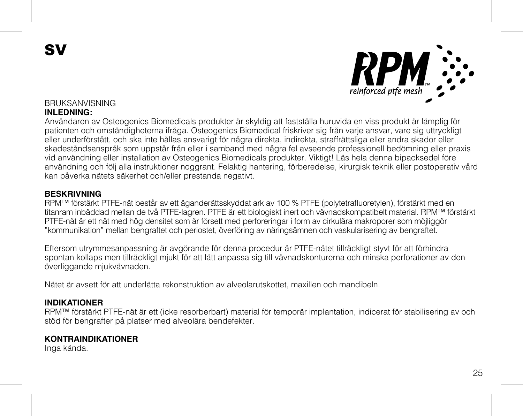SV



# BRUKSANVISNING

### **INLEDNING:**

Användaren av Osteogenics Biomedicals produkter är skyldig att fastställa huruvida en viss produkt är lämplig för patienten och omständigheterna ifråga. Osteogenics Biomedical friskriver sig från varje ansvar, vare sig uttryckligt eller underförstått, och ska inte hållas ansvarigt för några direkta, indirekta, straffrättsliga eller andra skador eller skadeståndsanspråk som uppstår från eller i samband med några fel avseende professionell bedömning eller praxis vid användning eller installation av Osteogenics Biomedicals produkter. Viktigt! Läs hela denna bipacksedel före användning och följ alla instruktioner noggrant. Felaktig hantering, förberedelse, kirurgisk teknik eller postoperativ vård kan påverka nätets säkerhet och/eller prestanda negativt.

### **BESKRIVNING**

RPM™ förstärkt PTFE-nät består av ett äganderättsskyddat ark av 100 % PTFE (polytetrafluoretylen), förstärkt med en titanram inbäddad mellan de två PTFE-lagren. PTFE är ett biologiskt inert och vävnadskompatibelt material. RPM™ förstärkt PTFE-nät är ett nät med hög densitet som är försett med perforeringar i form av cirkulära makroporer som möjliggör "kommunikation" mellan bengraftet och periostet, överföring av näringsämnen och vaskularisering av bengraftet.

Eftersom utrymmesanpassning är avgörande för denna procedur är PTFE-nätet tillräckligt styvt för att förhindra spontan kollaps men tillräckligt mjukt för att lätt anpassa sig till vävnadskonturerna och minska perforationer av den överliggande mjukvävnaden.

Nätet är avsett för att underlätta rekonstruktion av alveolarutskottet, maxillen och mandibeln.

#### **INDIKATIONER**

RPM™ förstärkt PTFE-nät är ett (icke resorberbart) material för temporär implantation, indicerat för stabilisering av och stöd för bengrafter på platser med alveolära bendefekter.

### **KONTRAINDIKATIONER**

Inga kända.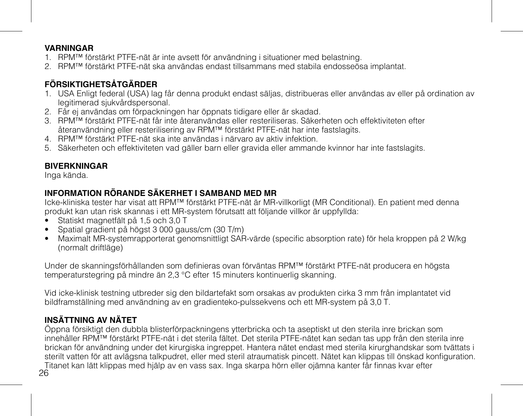### **VARNINGAR**

- 1. RPM™ förstärkt PTFE-nät är inte avsett för användning i situationer med belastning.
- 2. RPM™ förstärkt PTFE-nät ska användas endast tillsammans med stabila endosseösa implantat.

# **FÖRSIKTIGHETSÅTGÄRDER**

- 1. USA Enligt federal (USA) lag får denna produkt endast säljas, distribueras eller användas av eller på ordination av legitimerad sjukvårdspersonal.
- 2. Får ej användas om förpackningen har öppnats tidigare eller är skadad.
- 3. RPM™ förstärkt PTFE-nät får inte återanvändas eller resteriliseras. Säkerheten och effektiviteten efter återanvändning eller resterilisering av RPM™ förstärkt PTFE-nät har inte fastslagits.
- 4. RPM™ förstärkt PTFE-nät ska inte användas i närvaro av aktiv infektion.
- 5. Säkerheten och effektiviteten vad gäller barn eller gravida eller ammande kvinnor har inte fastslagits.

## **BIVERKNINGAR**

Inga kända.

## **INFORMATION RÖRANDE SÄKERHET I SAMBAND MED MR**

Icke-kliniska tester har visat att RPM™ förstärkt PTFE-nät är MR-villkorligt (MR Conditional). En patient med denna produkt kan utan risk skannas i ett MR-system förutsatt att följande villkor är uppfyllda:

- Statiskt magnetfält på 1,5 och 3,0 T
- Spatial gradient på högst 3 000 gauss/cm (30 T/m)
- Maximalt MR-systemrapporterat genomsnittligt SAR-värde (specific absorption rate) för hela kroppen på 2 W/kg (normalt driftläge)

Under de skanningsförhållanden som definieras ovan förväntas RPM™ förstärkt PTFE-nät producera en högsta temperaturstegring på mindre än 2,3 °C efter 15 minuters kontinuerlig skanning.

Vid icke-klinisk testning utbreder sig den bildartefakt som orsakas av produkten cirka 3 mm från implantatet vid bildframställning med användning av en gradienteko-pulssekvens och ett MR-system på 3,0 T.

# **INSÄTTNING AV NÄTET**

26 Öppna försiktigt den dubbla blisterförpackningens ytterbricka och ta aseptiskt ut den sterila inre brickan som innehåller RPM™ förstärkt PTFE-nät i det sterila fältet. Det sterila PTFE-nätet kan sedan tas upp från den sterila inre brickan för användning under det kirurgiska ingreppet. Hantera nätet endast med sterila kirurghandskar som tvättats i sterilt vatten för att avlägsna talkpudret, eller med steril atraumatisk pincett. Nätet kan klippas till önskad konfiguration. Titanet kan lätt klippas med hjälp av en vass sax. Inga skarpa hörn eller ojämna kanter får finnas kvar efter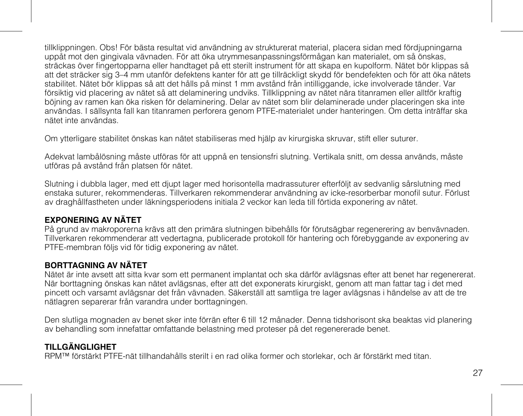tillklippningen. Obs! För bästa resultat vid användning av strukturerat material, placera sidan med fördjupningarna uppåt mot den gingivala vävnaden. För att öka utrymmesanpassningsförmågan kan materialet, om så önskas, sträckas över fingertopparna eller handtaget på ett sterilt instrument för att skapa en kupolform. Nätet bör klippas så att det sträcker sig 3–4 mm utanför defektens kanter för att ge tillräckligt skydd för bendefekten och för att öka nätets stabilitet. Nätet bör klippas så att det hålls på minst 1 mm avstånd från intilliggande, icke involverade tänder. Var försiktig vid placering av nätet så att delaminering undviks. Tillklippning av nätet nära titanramen eller alltför kraftig böjning av ramen kan öka risken för delaminering. Delar av nätet som blir delaminerade under placeringen ska inte användas. I sällsynta fall kan titanramen perforera genom PTFE-materialet under hanteringen. Om detta inträffar ska nätet inte användas.

Om ytterligare stabilitet önskas kan nätet stabiliseras med hjälp av kirurgiska skruvar, stift eller suturer.

Adekvat lambålösning måste utföras för att uppnå en tensionsfri slutning. Vertikala snitt, om dessa används, måste utföras på avstånd från platsen för nätet.

Slutning i dubbla lager, med ett djupt lager med horisontella madrassuturer efterföljt av sedvanlig sårslutning med enstaka suturer, rekommenderas. Tillverkaren rekommenderar användning av icke-resorberbar monofil sutur. Förlust av draghållfastheten under läkningsperiodens initiala 2 veckor kan leda till förtida exponering av nätet.

### **EXPONERING AV NÄTET**

På grund av makroporerna krävs att den primära slutningen bibehålls för förutsägbar regenerering av benvävnaden. Tillverkaren rekommenderar att vedertagna, publicerade protokoll för hantering och förebyggande av exponering av PTFE-membran följs vid för tidig exponering av nätet.

### **BORTTAGNING AV NÄTET**

Nätet är inte avsett att sitta kvar som ett permanent implantat och ska därför avlägsnas efter att benet har regenererat. När borttagning önskas kan nätet avlägsnas, efter att det exponerats kirurgiskt, genom att man fattar tag i det med pincett och varsamt avlägsnar det från vävnaden. Säkerställ att samtliga tre lager avlägsnas i händelse av att de tre nätlagren separerar från varandra under borttagningen.

Den slutliga mognaden av benet sker inte förrän efter 6 till 12 månader. Denna tidshorisont ska beaktas vid planering av behandling som innefattar omfattande belastning med proteser på det regenererade benet.

## **TILLGÄNGLIGHET**

RPM™ förstärkt PTFE-nät tillhandahålls sterilt i en rad olika former och storlekar, och är förstärkt med titan.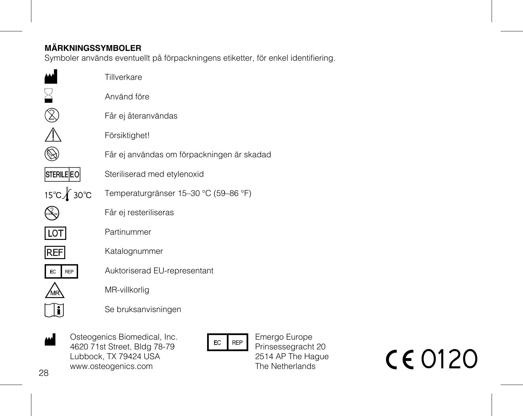## **MÄRKNINGSSYMBOLER**

Symboler används eventuellt på förpackningens etiketter, för enkel identifiering.

|                  | Tillverkare                                |
|------------------|--------------------------------------------|
|                  | Använd före                                |
|                  | Får ej återanvändas                        |
|                  | Försiktighet!                              |
|                  | Får ej användas om förpackningen är skadad |
| STERILE EO       | Steriliserad med etylenoxid                |
| 15℃ <u>1</u> 30℃ | Temperaturgränser 15-30 °C (59-86 °F)      |
|                  | Får ej resteriliseras                      |
| <b>LOT</b>       | Partinummer                                |
| REF              | Katalognummer                              |
| <b>REP</b><br>EC | Auktoriserad EU-representant               |
|                  | MR-villkorlig                              |
|                  | Se bruksanvisningen                        |
|                  |                                            |

Osteogenics Biomedical, Inc. 4620 71st Street, Bldg 78-79 Lubbock, TX 79424 USA www.osteogenics.com  $\frac{1}{4}$ <br>
A Capacition Slomedical, Inc.<br>
Lubbock, TX 79424 USA<br>
www.osteogenics.com<br>
B C C 0120

Emergo Europe Prinsessegracht 20 2514 AP The Hague The Netherlands

28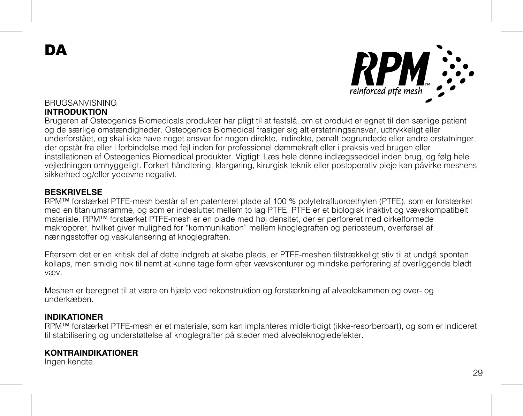DA



#### BRUGSANVISNING **INTRODUKTION**

Brugeren af Osteogenics Biomedicals produkter har pligt til at fastslå, om et produkt er egnet til den særlige patient og de særlige omstændigheder. Osteogenics Biomedical frasiger sig alt erstatningsansvar, udtrykkeligt eller underforstået, og skal ikke have noget ansvar for nogen direkte, indirekte, pønalt begrundede eller andre erstatninger, der opstår fra eller i forbindelse med fejl inden for professionel dømmekraft eller i praksis ved brugen eller installationen af Osteogenics Biomedical produkter. Vigtigt: Læs hele denne indlægsseddel inden brug, og følg hele vejledningen omhyggeligt. Forkert håndtering, klargøring, kirurgisk teknik eller postoperativ pleje kan påvirke meshens sikkerhed og/eller ydeevne negativt.

### **BESKRIVELSE**

RPM™ forstærket PTFE-mesh består af en patenteret plade af 100 % polytetrafluoroethylen (PTFE), som er forstærket med en titaniumsramme, og som er indesluttet mellem to lag PTFE. PTFE er et biologisk inaktivt og vævskompatibelt materiale. RPM™ forstærket PTFE-mesh er en plade med høj densitet, der er perforeret med cirkelformede makroporer, hvilket giver mulighed for "kommunikation" mellem knoglegraften og periosteum, overførsel af næringsstoffer og vaskularisering af knoglegraften.

Eftersom det er en kritisk del af dette indgreb at skabe plads, er PTFE-meshen tilstrækkeligt stiv til at undgå spontan kollaps, men smidig nok til nemt at kunne tage form efter vævskonturer og mindske perforering af overliggende blødt væv.

Meshen er beregnet til at være en hjælp ved rekonstruktion og forstærkning af alveolekammen og over- og underkæben.

### **INDIKATIONER**

RPM™ forstærket PTFE-mesh er et materiale, som kan implanteres midlertidigt (ikke-resorberbart), og som er indiceret til stabilisering og understøttelse af knoglegrafter på steder med alveoleknogledefekter.

### **KONTRAINDIKATIONER**

Ingen kendte.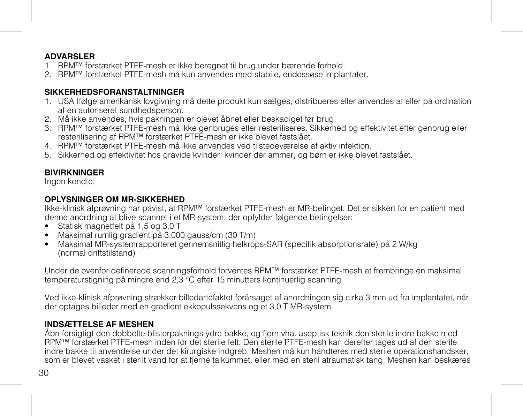### **ADVARSLER**

- 1. RPM™ forstærket PTFE-mesh er ikke beregnet til brug under bærende forhold.
- 2. RPM™ forstærket PTFE-mesh må kun anvendes med stabile, endossøse implantater.

### **SIKKERHEDSFORANSTALTNINGER**

- 1. USA Ifølge amerikansk lovgivning må dette produkt kun sælges, distribueres eller anvendes af eller på ordination af en autoriseret sundhedsperson.
- 2. Må ikke anvendes, hvis pakningen er blevet åbnet eller beskadiget før brug.
- 3. RPM™ forstærket PTFE-mesh må ikke genbruges eller resteriliseres. Sikkerhed og effektivitet efter genbrug eller resterilisering af RPM™ forstærket PTFE-mesh er ikke blevet fastslået.
- 4. RPM™ forstærket PTFE-mesh må ikke anvendes ved tilstedeværelse af aktiv infektion.
- 5. Sikkerhed og effektivitet hos gravide kvinder, kvinder der ammer, og børn er ikke blevet fastslået.

### **BIVIRKNINGER**

Ingen kendte.

### **OPLYSNINGER OM MR-SIKKERHED**

Ikke-klinisk afprøvning har påvist, at RPM™ forstærket PTFE-mesh er MR-betinget. Det er sikkert for en patient med denne anordning at blive scannet i et MR-system, der opfylder følgende betingelser:

- Statisk magnetfelt på 1,5 og 3,0 T
- Maksimal rumlig gradient på 3.000 gauss/cm (30 T/m)
- Maksimal MR-systemrapporteret gennemsnitlig helkrops-SAR (specifik absorptionsrate) på 2 W/kg (normal driftstilstand)

Under de ovenfor definerede scanningsforhold forventes RPM™ forstærket PTFE-mesh at frembringe en maksimal temperaturstigning på mindre end 2,3 °C efter 15 minutters kontinuerlig scanning.

Ved ikke-klinisk afprøvning strækker billedartefaktet forårsaget af anordningen sig cirka 3 mm ud fra implantatet, når der optages billeder med en gradient ekkopulssekvens og et 3,0 T MR-system.

### **INDSÆTTELSE AF MESHEN**

Åbn forsigtigt den dobbelte blisterpaknings ydre bakke, og fjern vha. aseptisk teknik den sterile indre bakke med RPM™ forstærket PTFE-mesh inden for det sterile felt. Den sterile PTFE-mesh kan derefter tages ud af den sterile indre bakke til anvendelse under det kirurgiske indgreb. Meshen må kun håndteres med sterile operationshandsker, som er blevet vasket i sterilt vand for at fjerne talkummet, eller med en steril atraumatisk tang. Meshen kan beskæres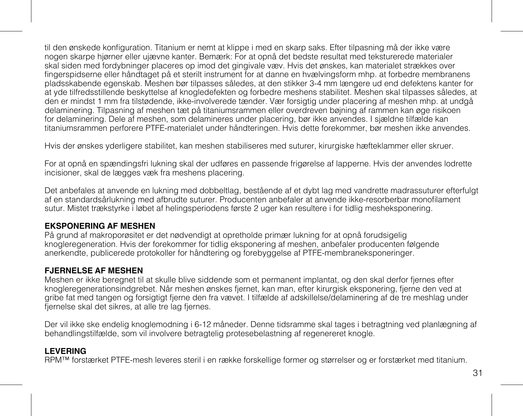til den ønskede konfiguration. Titanium er nemt at klippe i med en skarp saks. Efter tilpasning må der ikke være nogen skarpe hjørner eller ujævne kanter. Bemærk: For at opnå det bedste resultat med teksturerede materialer skal siden med fordybninger placeres op imod det gingivale væv. Hvis det ønskes, kan materialet strækkes over fingerspidserne eller håndtaget på et sterilt instrument for at danne en hvælvingsform mhp. at forbedre membranens pladsskabende egenskab. Meshen bør tilpasses således, at den stikker 3-4 mm længere ud end defektens kanter for at yde tilfredsstillende beskyttelse af knogledefekten og forbedre meshens stabilitet. Meshen skal tilpasses således, at den er mindst 1 mm fra tilstødende, ikke-involverede tænder. Vær forsigtig under placering af meshen mhp. at undgå delaminering. Tilpasning af meshen tæt på titaniumsrammen eller overdreven bøjning af rammen kan øge risikoen for delaminering. Dele af meshen, som delamineres under placering, bør ikke anvendes. I sjældne tilfælde kan titaniumsrammen perforere PTFE-materialet under håndteringen. Hvis dette forekommer, bør meshen ikke anvendes.

Hvis der ønskes yderligere stabilitet, kan meshen stabiliseres med suturer, kirurgiske hæfteklammer eller skruer.

For at opnå en spændingsfri lukning skal der udføres en passende frigørelse af lapperne. Hvis der anvendes lodrette incisioner, skal de lægges væk fra meshens placering.

Det anbefales at anvende en lukning med dobbeltlag, bestående af et dybt lag med vandrette madrassuturer efterfulgt af en standardsårlukning med afbrudte suturer. Producenten anbefaler at anvende ikke-resorberbar monofilament sutur. Mistet trækstyrke i løbet af helingsperiodens første 2 uger kan resultere i for tidlig mesheksponering.

### **EKSPONERING AF MESHEN**

På grund af makroporøsitet er det nødvendigt at opretholde primær lukning for at opnå forudsigelig knogleregeneration. Hvis der forekommer for tidlig eksponering af meshen, anbefaler producenten følgende anerkendte, publicerede protokoller for håndtering og forebyggelse af PTFE-membraneksponeringer.

### **FJERNELSE AF MESHEN**

Meshen er ikke beregnet til at skulle blive siddende som et permanent implantat, og den skal derfor fjernes efter knogleregenerationsindgrebet. Når meshen ønskes fjernet, kan man, efter kirurgisk eksponering, fjerne den ved at gribe fat med tangen og forsigtigt fjerne den fra vævet. I tilfælde af adskillelse/delaminering af de tre meshlag under fjernelse skal det sikres, at alle tre lag fjernes.

Der vil ikke ske endelig knoglemodning i 6-12 måneder. Denne tidsramme skal tages i betragtning ved planlægning af behandlingstilfælde, som vil involvere betragtelig protesebelastning af regenereret knogle.

### **LEVERING**

RPM™ forstærket PTFE-mesh leveres steril i en række forskellige former og størrelser og er forstærket med titanium.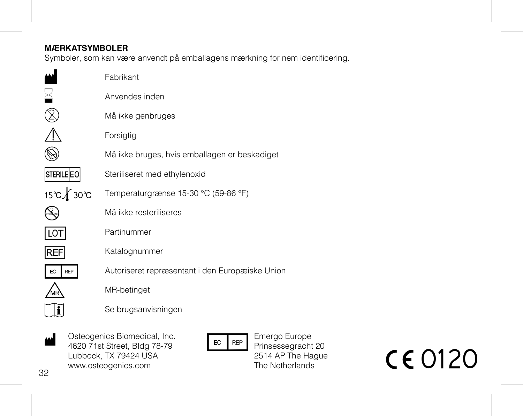## **MÆRKATSYMBOLER**

Symboler, som kan være anvendt på emballagens mærkning for nem identificering.

|                  | Fabrikant                                       |
|------------------|-------------------------------------------------|
|                  | Anvendes inden                                  |
|                  | Må ikke genbruges                               |
|                  | Forsigtig                                       |
|                  | Må ikke bruges, hvis emballagen er beskadiget   |
| STERILE EO       | Steriliseret med ethylenoxid                    |
| 15℃ <b>1</b> 30℃ | Temperaturgrænse 15-30 °C (59-86 °F)            |
|                  | Må ikke resteriliseres                          |
| lot              | Partinummer                                     |
| <b>REF</b>       | Katalognummer                                   |
| <b>REP</b>       | Autoriseret repræsentant i den Europæiske Union |
|                  | MR-betinget                                     |
|                  | Se brugsanvisningen                             |
|                  |                                                 |

Osteogenics Biomedical, Inc. 4620 71st Street, Bldg 78-79 Lubbock, TX 79424 USA www.osteogenics.com M Osteogenics Biomedical, Inc.<br>
420 71st Street, Bldg 78-79<br>
Lubbock, TX 79424 USA<br>
Prinsessegracht 20<br>
2514 AP The Netherlands<br>
The Netherlands<br>
The Netherlands<br>
The Netherlands<br>
The Netherlands<br>
The Netherlands

Emergo Europe Prinsessegracht 20 2514 AP The Hague The Netherlands

32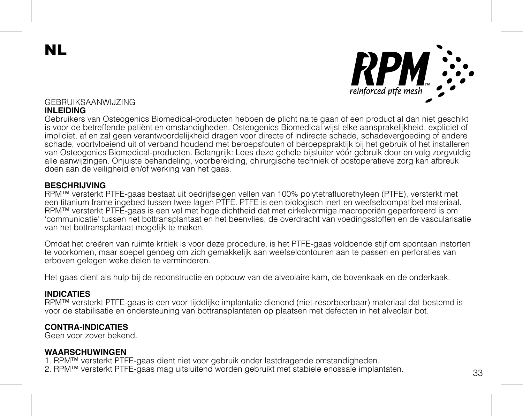NL



## GEBRUIKSAANWIJZING

#### **INLEIDING**

Gebruikers van Osteogenics Biomedical-producten hebben de plicht na te gaan of een product al dan niet geschikt is voor de betreffende patiënt en omstandigheden. Osteogenics Biomedical wijst elke aansprakelijkheid, expliciet of impliciet, af en zal geen verantwoordelijkheid dragen voor directe of indirecte schade, schadevergoeding of andere schade, voortvloeiend uit of verband houdend met beroepsfouten of beroepspraktijk bij het gebruik of het installeren van Osteogenics Biomedical-producten. Belangrijk: Lees deze gehele bijsluiter vóór gebruik door en volg zorgvuldig alle aanwijzingen. Onjuiste behandeling, voorbereiding, chirurgische techniek of postoperatieve zorg kan afbreuk doen aan de veiligheid en/of werking van het gaas.

### **BESCHRIJVING**

RPM™ versterkt PTFE-gaas bestaat uit bedrijfseigen vellen van 100% polytetrafluorethyleen (PTFE), versterkt met een titanium frame ingebed tussen twee lagen PTFE. PTFE is een biologisch inert en weefselcompatibel materiaal. RPM™ versterkt PTFE-gaas is een vel met hoge dichtheid dat met cirkelvormige macroporiën geperforeerd is om 'communicatie' tussen het bottransplantaat en het beenvlies, de overdracht van voedingsstoffen en de vascularisatie van het bottransplantaat mogelijk te maken.

Omdat het creëren van ruimte kritiek is voor deze procedure, is het PTFE-gaas voldoende stijf om spontaan instorten te voorkomen, maar soepel genoeg om zich gemakkelijk aan weefselcontouren aan te passen en perforaties van erboven gelegen weke delen te verminderen.

Het gaas dient als hulp bij de reconstructie en opbouw van de alveolaire kam, de bovenkaak en de onderkaak.

#### **INDICATIES**

RPM™ versterkt PTFE-gaas is een voor tijdelijke implantatie dienend (niet-resorbeerbaar) materiaal dat bestemd is voor de stabilisatie en ondersteuning van bottransplantaten op plaatsen met defecten in het alveolair bot.

### **CONTRA-INDICATIES**

Geen voor zover bekend.

### **WAARSCHUWINGEN**

1. RPM™ versterkt PTFE-gaas dient niet voor gebruik onder lastdragende omstandigheden.

2. RPM™ versterkt PTFE-gaas mag uitsluitend worden gebruikt met stabiele enossale implantaten.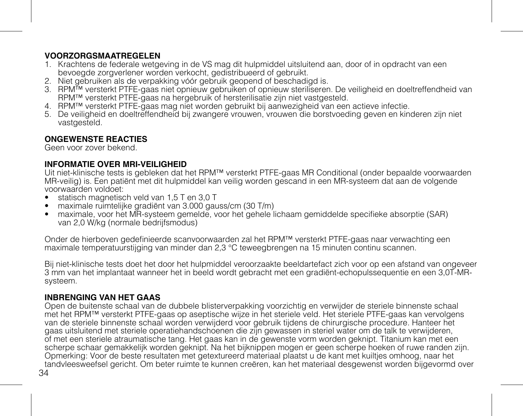### **VOORZORGSMAATREGELEN**

- 1. Krachtens de federale wetgeving in de VS mag dit hulpmiddel uitsluitend aan, door of in opdracht van een bevoegde zorgverlener worden verkocht, gedistribueerd of gebruikt.
- 2. Niet gebruiken als de verpakking vóór gebruik geopend of beschadigd is.
- 3. RPM™ versterkt PTFE-gaas niet opnieuw gebruiken of opnieuw steriliseren. De veiligheid en doeltreffendheid van RPM™ versterkt PTFE-gaas na hergebruik of hersterilisatie zijn niet vastgesteld.
- 4. RPM™ versterkt PTFE-gaas mag niet worden gebruikt bij aanwezigheid van een actieve infectie.
- 5. De veiligheid en doeltreffendheid bij zwangere vrouwen, vrouwen die borstvoeding geven en kinderen zijn niet vastgesteld.

## **ONGEWENSTE REACTIES**

Geen voor zover bekend.

### **INFORMATIE OVER MRI-VEILIGHEID**

Uit niet-klinische tests is gebleken dat het RPM™ versterkt PTFE-gaas MR Conditional (onder bepaalde voorwaarden MR-veilig) is. Een patiënt met dit hulpmiddel kan veilig worden gescand in een MR-systeem dat aan de volgende voorwaarden voldoet:

- statisch magnetisch veld van 1,5 T en 3,0 T
- maximale ruimtelijke gradiënt van 3.000 gauss/cm (30 T/m)
- maximale, voor het MR-systeem gemelde, voor het gehele lichaam gemiddelde specifieke absorptie (SAR) van 2,0 W/kg (normale bedrijfsmodus)

Onder de hierboven gedefinieerde scanvoorwaarden zal het RPM™ versterkt PTFE-gaas naar verwachting een maximale temperatuurstijging van minder dan 2,3 °C teweegbrengen na 15 minuten continu scannen.

Bij niet-klinische tests doet het door het hulpmiddel veroorzaakte beeldartefact zich voor op een afstand van ongeveer 3 mm van het implantaat wanneer het in beeld wordt gebracht met een gradiënt-echopulssequentie en een 3,0T-MRsysteem.

## **INBRENGING VAN HET GAAS**

Open de buitenste schaal van de dubbele blisterverpakking voorzichtig en verwijder de steriele binnenste schaal met het RPM™ versterkt PTFE-gaas op aseptische wijze in het steriele veld. Het steriele PTFE-gaas kan vervolgens van de steriele binnenste schaal worden verwijderd voor gebruik tijdens de chirurgische procedure. Hanteer het gaas uitsluitend met steriele operatiehandschoenen die zijn gewassen in steriel water om de talk te verwijderen, of met een steriele atraumatische tang. Het gaas kan in de gewenste vorm worden geknipt. Titanium kan met een scherpe schaar gemakkelijk worden geknipt. Na het bijknippen mogen er geen scherpe hoeken of ruwe randen zijn. Opmerking: Voor de beste resultaten met getextureerd materiaal plaatst u de kant met kuiltjes omhoog, naar het tandvleesweefsel gericht. Om beter ruimte te kunnen creëren, kan het materiaal desgewenst worden bijgevormd over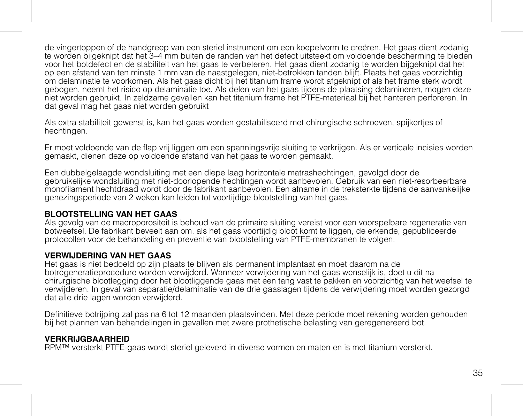de vingertoppen of de handgreep van een steriel instrument om een koepelvorm te creëren. Het gaas dient zodanig te worden bijgeknipt dat het 3–4 mm buiten de randen van het defect uitsteekt om voldoende bescherming te bieden voor het botdefect en de stabiliteit van het gaas te verbeteren. Het gaas dient zodanig te worden bijgeknipt dat het op een afstand van ten minste 1 mm van de naastgelegen, niet-betrokken tanden blijft. Plaats het gaas voorzichtig om delaminatie te voorkomen. Als het gaas dicht bij het titanium frame wordt afgeknipt of als het frame sterk wordt gebogen, neemt het risico op delaminatie toe. Als delen van het gaas tijdens de plaatsing delamineren, mogen deze niet worden gebruikt. In zeldzame gevallen kan het titanium frame het PTFE-materiaal bij het hanteren perforeren. In dat geval mag het gaas niet worden gebruikt

Als extra stabiliteit gewenst is, kan het gaas worden gestabiliseerd met chirurgische schroeven, spijkertjes of hechtingen.

Er moet voldoende van de flap vrij liggen om een spanningsvrije sluiting te verkrijgen. Als er verticale incisies worden gemaakt, dienen deze op voldoende afstand van het gaas te worden gemaakt.

Een dubbelgelaagde wondsluiting met een diepe laag horizontale matrashechtingen, gevolgd door de gebruikelijke wondsluiting met niet-doorlopende hechtingen wordt aanbevolen. Gebruik van een niet-resorbeerbare monofilament hechtdraad wordt door de fabrikant aanbevolen. Een afname in de treksterkte tijdens de aanvankelijke genezingsperiode van 2 weken kan leiden tot voortijdige blootstelling van het gaas.

#### **BLOOTSTELLING VAN HET GAAS**

Als gevolg van de macroporositeit is behoud van de primaire sluiting vereist voor een voorspelbare regeneratie van botweefsel. De fabrikant beveelt aan om, als het gaas voortijdig bloot komt te liggen, de erkende, gepubliceerde protocollen voor de behandeling en preventie van blootstelling van PTFE-membranen te volgen.

### **VERWIJDERING VAN HET GAAS**

Het gaas is niet bedoeld op zijn plaats te blijven als permanent implantaat en moet daarom na de botregeneratieprocedure worden verwijderd. Wanneer verwijdering van het gaas wenselijk is, doet u dit na chirurgische blootlegging door het blootliggende gaas met een tang vast te pakken en voorzichtig van het weefsel te verwijderen. In geval van separatie/delaminatie van de drie gaaslagen tijdens de verwijdering moet worden gezorgd dat alle drie lagen worden verwijderd.

Definitieve botrijping zal pas na 6 tot 12 maanden plaatsvinden. Met deze periode moet rekening worden gehouden bij het plannen van behandelingen in gevallen met zware prothetische belasting van geregenereerd bot.

### **VERKRIJGBAARHEID**

RPM™ versterkt PTFE-gaas wordt steriel geleverd in diverse vormen en maten en is met titanium versterkt.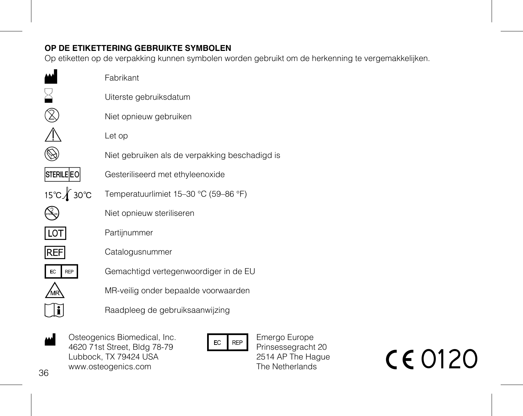## **OP DE ETIKETTERING GEBRUIKTE SYMBOLEN**

Op etiketten op de verpakking kunnen symbolen worden gebruikt om de herkenning te vergemakkelijken.

|                   | Fabrikant                                      |
|-------------------|------------------------------------------------|
|                   | Uiterste gebruiksdatum                         |
|                   | Niet opnieuw gebruiken                         |
|                   | Let op                                         |
|                   | Niet gebruiken als de verpakking beschadigd is |
| <b>STERILE EO</b> | Gesteriliseerd met ethyleenoxide               |
| 15℃∦ 30℃          | Temperatuurlimiet 15-30 °C (59-86 °F)          |
|                   | Niet opnieuw steriliseren                      |
| ΙO                | Partijnummer                                   |
| <b>REF</b>        | Catalogusnummer                                |
| EC                | Gemachtigd vertegenwoordiger in de EU          |
|                   | MR-veilig onder bepaalde voorwaarden           |
|                   | Raadpleeg de gebruiksaanwijzing                |
|                   |                                                |

Osteogenics Biomedical, Inc. 4620 71st Street, Bldg 78-79 Lubbock, TX 79424 USA www.osteogenics.com  $\frac{1}{4620 \times 21}{4820 \times 18 \times 18}$ <br>
Lubbock, TX 79424 USA<br>
Electron Electron Piensesseggenics.com<br>
S WWW.osteogenics.com<br>
B The Netherlands<br>
The Netherlands<br>
The Netherlands<br>
C C 0120

Emergo Europe Prinsessegracht 20 2514 AP The Hague The Netherlands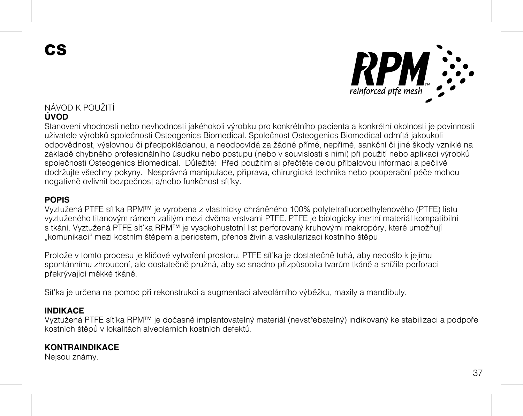CS



### NÁVOD K POUŽITÍ **ÚVOD**

Stanovení vhodnosti nebo nevhodnosti jakéhokoli výrobku pro konkrétního pacienta a konkrétní okolnosti je povinností uživatele výrobků společnosti Osteogenics Biomedical. Společnost Osteogenics Biomedical odmítá jakoukoli odpovědnost, výslovnou či předpokládanou, a neodpovídá za žádné přímé, nepřímé, sankční či jiné škody vzniklé na základě chybného profesionálního úsudku nebo postupu (nebo v souvislosti s nimi) při použití nebo aplikaci výrobků společnosti Osteogenics Biomedical. Důležité: Před použitím si přečtěte celou příbalovou informaci a pečlivě dodržujte všechny pokyny. Nesprávná manipulace, příprava, chirurgická technika nebo pooperační péče mohou negativně ovlivnit bezpečnost a/nebo funkčnost síťky.

### **POPIS**

Vyztužená PTFE síťka RPM™ je vyrobena z vlastnicky chráněného 100% polytetrafluoroethylenového (PTFE) listu vyztuženého titanovým rámem zalitým mezi dvěma vrstvami PTFE. PTFE je biologicky inertní materiál kompatibilní s tkání. Vyztužená PTFE síťka RPM™ je vysokohustotní list perforovaný kruhovými makropóry, které umožňují "komunikaci" mezi kostním štěpem a periostem, přenos živin a vaskularizaci kostního štěpu.

Protože v tomto procesu je klíčové vytvoření prostoru, PTFE síťka je dostatečně tuhá, aby nedošlo k jejímu spontánnímu zhroucení, ale dostatečně pružná, aby se snadno přizpůsobila tvarům tkáně a snížila perforaci překrývající měkké tkáně.

Síťka je určena na pomoc při rekonstrukci a augmentaci alveolárního výběžku, maxily a mandibuly.

#### **INDIKACE**

Vyztužená PTFE síťka RPM™ je dočasně implantovatelný materiál (nevstřebatelný) indikovaný ke stabilizaci a podpoře kostních štěpů v lokalitách alveolárních kostních defektů.

#### **KONTRAINDIKACE**

Nejsou známy.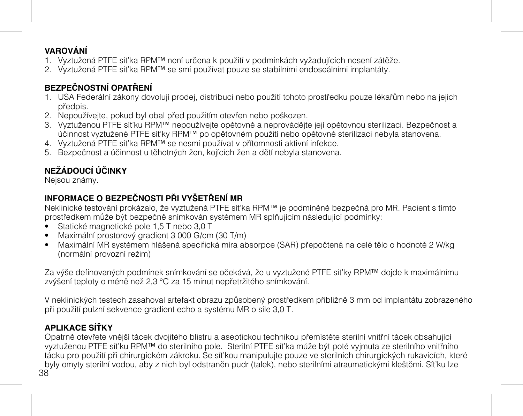## **VAROVÁNÍ**

- 1. Vyztužená PTFE síťka RPM™ není určena k použití v podmínkách vyžadujících nesení zátěže.
- 2. Vyztužená PTFE síťka RPM™ se smí používat pouze se stabilními endoseálními implantáty.

# **BEZPEČNOSTNÍ OPATŘENÍ**

- 1. USA Federální zákony dovolují prodej, distribuci nebo použití tohoto prostředku pouze lékařům nebo na jejich předpis.
- 2. Nepoužívejte, pokud byl obal před použitím otevřen nebo poškozen.
- 3. Vyztuženou PTFE síťku RPM™ nepoužívejte opětovně a neprovádějte její opětovnou sterilizaci. Bezpečnost a účinnost vyztužené PTFE síťky RPM™ po opětovném použití nebo opětovné sterilizaci nebyla stanovena.
- 4. Vyztužená PTFE síťka RPM™ se nesmí používat v přítomnosti aktivní infekce.
- 5. Bezpečnost a účinnost u těhotných žen, kojících žen a dětí nebyla stanovena.

# **NEŽÁDOUCÍ ÚČINKY**

Nejsou známy.

## **INFORMACE O BEZPEČNOSTI PŘI VYŠETŘENÍ MR**

Neklinické testování prokázalo, že vyztužená PTFE síťka RPM™ je podmíněně bezpečná pro MR. Pacient s tímto prostředkem může být bezpečně snímkován systémem MR splňujícím následující podmínky:

- Statické magnetické pole 1,5 T nebo 3,0 T
- Maximální prostorový gradient 3 000 G/cm (30 T/m)
- Maximální MR systémem hlášená specifická míra absorpce (SAR) přepočtená na celé tělo o hodnotě 2 W/kg (normální provozní režim)

Za výše definovaných podmínek snímkování se očekává, že u vyztužené PTFE síťky RPM™ dojde k maximálnímu zvýšení teploty o méně než 2,3 °C za 15 minut nepřetržitého snímkování.

V neklinických testech zasahoval artefakt obrazu způsobený prostředkem přibližně 3 mm od implantátu zobrazeného při použití pulzní sekvence gradient echo a systému MR o síle 3,0 T.

# **APLIKACE SÍŤKY**

38 Opatrně otevřete vnější tácek dvojitého blistru a aseptickou technikou přemístěte sterilní vnitřní tácek obsahující vyztuženou PTFE síťku RPM™ do sterilního pole. Sterilní PTFE síťka může být poté vyjmuta ze sterilního vnitřního tácku pro použití při chirurgickém zákroku. Se síťkou manipulujte pouze ve sterilních chirurgických rukavicích, které byly omyty sterilní vodou, aby z nich byl odstraněn pudr (talek), nebo sterilními atraumatickými kleštěmi. Síťku lze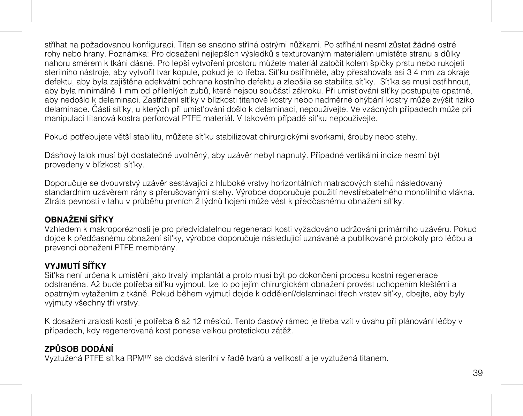stříhat na požadovanou konfiguraci. Titan se snadno stříhá ostrými nůžkami. Po stříhání nesmí zůstat žádné ostré rohy nebo hrany. Poznámka: Pro dosažení nejlepších výsledků s texturovaným materiálem umístěte stranu s důlky nahoru směrem k tkáni dásně. Pro lepší vytvoření prostoru můžete materiál zatočit kolem špičky prstu nebo rukojeti sterilního nástroje, aby vytvořil tvar kopule, pokud je to třeba. Síťku ostřihněte, aby přesahovala asi 3 4 mm za okraje defektu, aby byla zajištěna adekvátní ochrana kostního defektu a zlepšila se stabilita síťky. Síťka se musí ostřihnout, aby byla minimálně 1 mm od přilehlých zubů, které nejsou součástí zákroku. Při umisťování síťky postupujte opatrně, aby nedošlo k delaminaci. Zastřižení síťky v blízkosti titanové kostry nebo nadměrné ohýbání kostry může zvýšit riziko delaminace. Části síťky, u kterých při umisťování došlo k delaminaci, nepoužívejte. Ve vzácných případech může při manipulaci titanová kostra perforovat PTFE materiál. V takovém případě síťku nepoužívejte.

Pokud potřebujete větší stabilitu, můžete síťku stabilizovat chirurgickými svorkami, šrouby nebo stehy.

Dásňový lalok musí být dostatečně uvolněný, aby uzávěr nebyl napnutý. Případné vertikální incize nesmí být provedeny v blízkosti síťky.

Doporučuje se dvouvrstvý uzávěr sestávající z hluboké vrstvy horizontálních matracových stehů následovaný standardním uzávěrem rány s přerušovanými stehy. Výrobce doporučuje použití nevstřebatelného monofilního vlákna. Ztráta pevnosti v tahu v průběhu prvních 2 týdnů hojení může vést k předčasnému obnažení síťky.

## **OBNAŽENÍ SÍŤKY**

Vzhledem k makroporéznosti je pro předvídatelnou regeneraci kosti vyžadováno udržování primárního uzávěru. Pokud dojde k předčasnému obnažení síťky, výrobce doporučuje následující uznávané a publikované protokoly pro léčbu a prevenci obnažení PTFE membrány.

## **VYJMUTÍ SÍŤKY**

Síťka není určena k umístění jako trvalý implantát a proto musí být po dokončení procesu kostní regenerace odstraněna. Až bude potřeba síťku vyjmout, lze to po jejím chirurgickém obnažení provést uchopením kleštěmi a opatrným vytažením z tkáně. Pokud během vyjmutí dojde k oddělení/delaminaci třech vrstev síťky, dbejte, aby byly vyjmuty všechny tři vrstvy.

K dosažení zralosti kosti je potřeba 6 až 12 měsíců. Tento časový rámec je třeba vzít v úvahu při plánování léčby v případech, kdy regenerovaná kost ponese velkou protetickou zátěž.

## **ZPŮSOB DODÁNÍ**

Vyztužená PTFE síťka RPM™ se dodává sterilní v řadě tvarů a velikostí a je vyztužená titanem.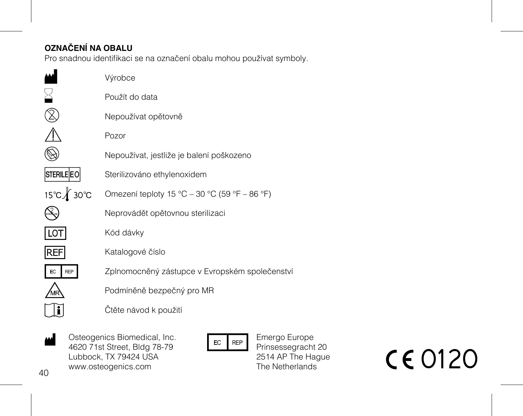# **OZNAČENÍ NA OBALU**

Pro snadnou identifikaci se na označení obalu mohou používat symboly.

|                   | Výrobce                                        |
|-------------------|------------------------------------------------|
|                   | Použít do data                                 |
|                   | Nepoužívat opětovně                            |
|                   | Pozor                                          |
|                   | Nepoužívat, jestliže je balení poškozeno       |
| <b>STERILE EO</b> | Sterilizováno ethylenoxidem                    |
| 15℃∦ 30℃          | Omezení teploty 15 °C - 30 °C (59 °F - 86 °F)  |
|                   | Neprovádět opětovnou sterilizaci               |
| LOT               | Kód dávky                                      |
| <b>REF</b>        | Katalogové číslo                               |
| EC<br><b>REP</b>  | Zplnomocněný zástupce v Evropském společenstvi |
|                   | Podmíněně bezpečný pro MR                      |
|                   | Čtěte návod k použití                          |
|                   |                                                |

Osteogenics Biomedical, Inc. 4620 71st Street, Bldg 78-79 Lubbock, TX 79424 USA www.osteogenics.com  $\frac{1}{4620 \text{ T} \cdot \text{M} \cdot \text{S}}$ <br>
Lubbock, TX 79424 USA<br>
Demonstrated by the REP Energo Europe<br>
Lubbock, TX 79424 USA<br>
WWW.osteogenics.com<br>
Demonstrated by the Netherlands<br>
The Netherlands<br>
The Netherlands<br>
The Netherlands<br>

Emergo Europe Prinsessegracht 20 2514 AP The Hague The Netherlands

 $40$